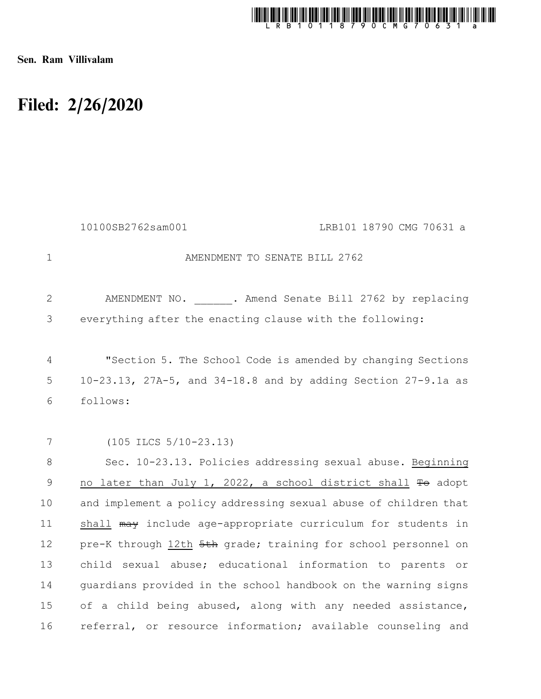

Sen. Ram Villivalam

## Filed: 2/26/2020

|              | 10100SB2762sam001                                               | LRB101 18790 CMG 70631 a |
|--------------|-----------------------------------------------------------------|--------------------------|
| $\mathbf 1$  | AMENDMENT TO SENATE BILL 2762                                   |                          |
| $\mathbf{2}$ | AMENDMENT NO. . Amend Senate Bill 2762 by replacing             |                          |
| 3            | everything after the enacting clause with the following:        |                          |
| 4            | "Section 5. The School Code is amended by changing Sections     |                          |
| 5            | 10-23.13, 27A-5, and 34-18.8 and by adding Section 27-9.1a as   |                          |
| 6            | follows:                                                        |                          |
|              |                                                                 |                          |
| 7            | $(105$ ILCS $5/10-23.13)$                                       |                          |
| $\,8\,$      | Sec. 10-23.13. Policies addressing sexual abuse. Beginning      |                          |
| 9            | no later than July 1, 2022, a school district shall To adopt    |                          |
| 10           | and implement a policy addressing sexual abuse of children that |                          |
| 11           | shall may include age-appropriate curriculum for students in    |                          |
| 12           | pre-K through 12th 5th grade; training for school personnel on  |                          |
| 13           | child sexual abuse; educational information to parents or       |                          |
| 14           | quardians provided in the school handbook on the warning signs  |                          |
| 15           | of a child being abused, along with any needed assistance,      |                          |
| 16           | referral, or resource information; available counseling and     |                          |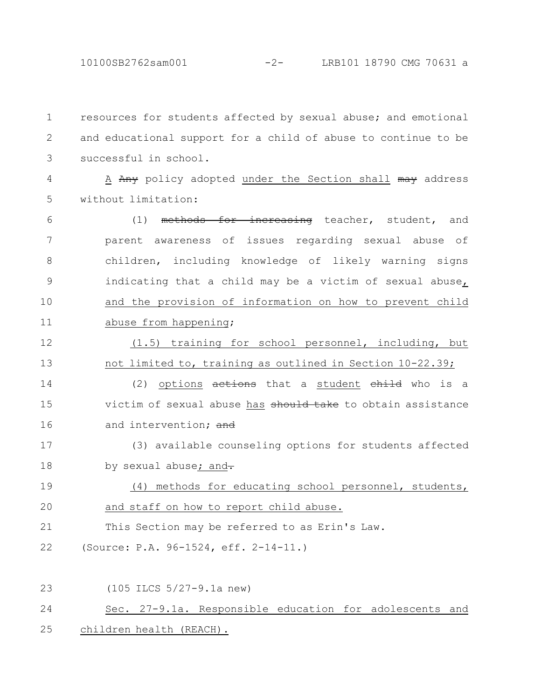resources for students affected by sexual abuse; and emotional and educational support for a child of abuse to continue to be successful in school. 1 2 3

A Any policy adopted under the Section shall may address without limitation: 4 5

(1) methods for increasing teacher, student, and parent awareness of issues regarding sexual abuse of children, including knowledge of likely warning signs indicating that a child may be a victim of sexual abuse, and the provision of information on how to prevent child abuse from happening; 6 7 8 9 10 11

(1.5) training for school personnel, including, but not limited to, training as outlined in Section 10-22.39; 12 13

(2) options  $a$ ctions that a student child who is a victim of sexual abuse has should take to obtain assistance and intervention: and 14 15 16

(3) available counseling options for students affected by sexual abuse; and-17 18

(4) methods for educating school personnel, students, and staff on how to report child abuse. 19 20

This Section may be referred to as Erin's Law. 21

(Source: P.A. 96-1524, eff. 2-14-11.) 22

(105 ILCS 5/27-9.1a new) Sec. 27-9.1a. Responsible education for adolescents and children health (REACH). 23 24 25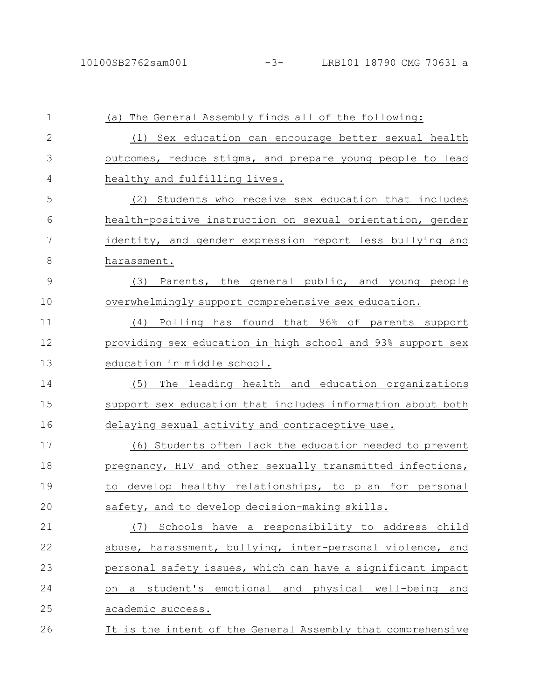| 1             | (a) The General Assembly finds all of the following:        |
|---------------|-------------------------------------------------------------|
| $\mathbf{2}$  | (1) Sex education can encourage better sexual health        |
| 3             | outcomes, reduce stigma, and prepare young people to lead   |
| 4             | healthy and fulfilling lives.                               |
| 5             | (2) Students who receive sex education that includes        |
| 6             | health-positive instruction on sexual orientation, gender   |
| 7             | identity, and gender expression report less bullying and    |
| 8             | harassment.                                                 |
| $\mathcal{G}$ | Parents, the general public, and young people<br>(3)        |
| 10            | overwhelmingly support comprehensive sex education.         |
| 11            | Polling has found that 96% of parents support<br>(4)        |
| 12            | providing sex education in high school and 93% support sex  |
| 13            | education in middle school.                                 |
| 14            | (5)<br>The leading health and education organizations       |
| 15            | support sex education that includes information about both  |
| 16            | delaying sexual activity and contraceptive use.             |
| 17            | (6) Students often lack the education needed to prevent     |
| 18            | pregnancy, HIV and other sexually transmitted infections,   |
| 19            | develop healthy relationships, to plan for personal<br>to   |
| 20            | safety, and to develop decision-making skills.              |
| 21            | Schools have a responsibility to address child<br>(7)       |
| 22            | abuse, harassment, bullying, inter-personal violence, and   |
| 23            | personal safety issues, which can have a significant impact |
| 24            | student's emotional and physical well-being and<br>a<br>on  |
| 25            | academic success.                                           |
| 26            | It is the intent of the General Assembly that comprehensive |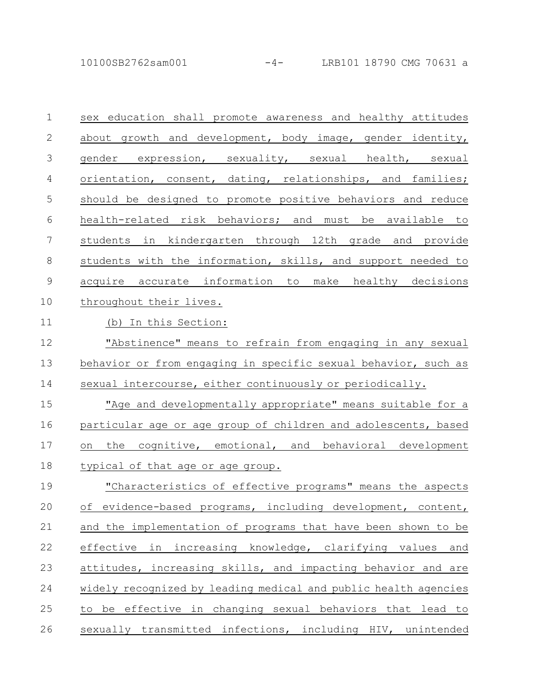10100SB2762sam001 -4- LRB101 18790 CMG 70631 a

| $\mathbf 1$    | sex education shall promote awareness and healthy attitudes     |
|----------------|-----------------------------------------------------------------|
| $\mathbf{2}$   | about growth and development, body image, gender identity,      |
| $\mathfrak{Z}$ | gender expression, sexuality, sexual health, sexual             |
| 4              | orientation, consent, dating, relationships, and families;      |
| 5              | should be designed to promote positive behaviors and reduce     |
| 6              | health-related risk behaviors; and must be available to         |
| $\overline{7}$ | students in kindergarten through 12th grade and provide         |
| 8              | students with the information, skills, and support needed to    |
| $\overline{9}$ | acquire accurate information to make healthy decisions          |
| 10             | throughout their lives.                                         |
| 11             | (b) In this Section:                                            |
| 12             | "Abstinence" means to refrain from engaging in any sexual       |
| 13             | behavior or from engaging in specific sexual behavior, such as  |
| 14             | sexual intercourse, either continuously or periodically.        |
| 15             | "Age and developmentally appropriate" means suitable for a      |
| 16             | particular age or age group of children and adolescents, based  |
| 17             | the cognitive, emotional, and behavioral development<br>on      |
| 18             | typical of that age or age group.                               |
| 19             | "Characteristics of effective programs" means the aspects       |
| 20             | of evidence-based programs, including development, content,     |
| 21             | and the implementation of programs that have been shown to be   |
| 22             | effective in increasing knowledge, clarifying values<br>and     |
| 23             | attitudes, increasing skills, and impacting behavior and are    |
| 24             | widely recognized by leading medical and public health agencies |
| 25             | to be effective in changing sexual behaviors that lead to       |
|                |                                                                 |

26 sexually transmitted infections, including HIV, unintended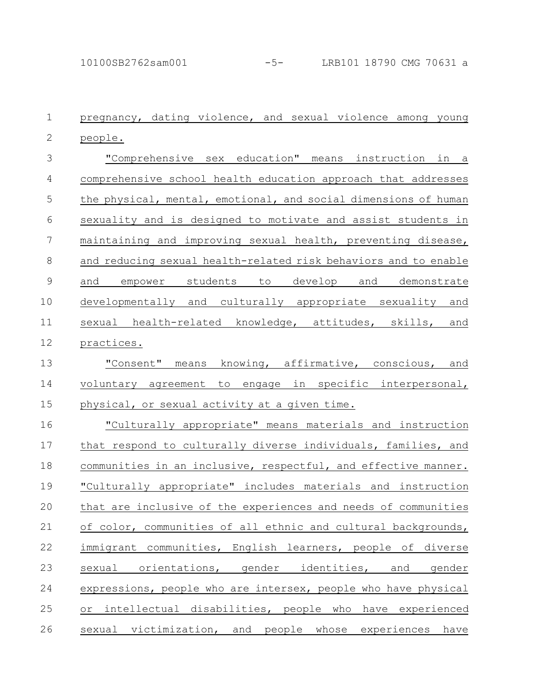pregnancy, dating violence, and sexual violence among young people. "Comprehensive sex education" means instruction in a comprehensive school health education approach that addresses the physical, mental, emotional, and social dimensions of human sexuality and is designed to motivate and assist students in maintaining and improving sexual health, preventing disease, and reducing sexual health-related risk behaviors and to enable and empower students to develop and demonstrate developmentally and culturally appropriate sexuality and sexual health-related knowledge, attitudes, skills, and practices. "Consent" means knowing, affirmative, conscious, and voluntary agreement to engage in specific interpersonal, physical, or sexual activity at a given time. "Culturally appropriate" means materials and instruction that respond to culturally diverse individuals, families, and communities in an inclusive, respectful, and effective manner. "Culturally appropriate" includes materials and instruction that are inclusive of the experiences and needs of communities of color, communities of all ethnic and cultural backgrounds, immigrant communities, English learners, people of diverse sexual orientations, gender identities, and gender expressions, people who are intersex, people who have physical or intellectual disabilities, people who have experienced sexual victimization, and people whose experiences have 1 2 3 4 5 6 7 8 9 10 11 12 13 14 15 16 17 18 19 20 21 22 23 24 25 26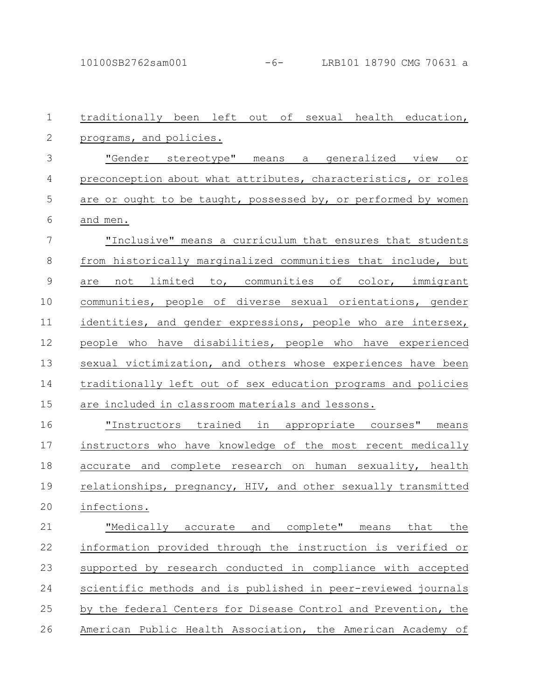traditionally been left out of sexual health education, programs, and policies. "Gender stereotype" means a generalized view or preconception about what attributes, characteristics, or roles are or ought to be taught, possessed by, or performed by women and men. "Inclusive" means a curriculum that ensures that students from historically marginalized communities that include, but are not limited to, communities of color, immigrant communities, people of diverse sexual orientations, gender identities, and gender expressions, people who are intersex, people who have disabilities, people who have experienced sexual victimization, and others whose experiences have been traditionally left out of sex education programs and policies are included in classroom materials and lessons. "Instructors trained in appropriate courses" means instructors who have knowledge of the most recent medically accurate and complete research on human sexuality, health relationships, pregnancy, HIV, and other sexually transmitted infections. "Medically accurate and complete" means that the information provided through the instruction is verified or supported by research conducted in compliance with accepted scientific methods and is published in peer-reviewed journals by the federal Centers for Disease Control and Prevention, the American Public Health Association, the American Academy of 1 2 3 4 5 6 7 8 9 10 11 12 13 14 15 16 17 18 19 20 21 22 23 24 25 26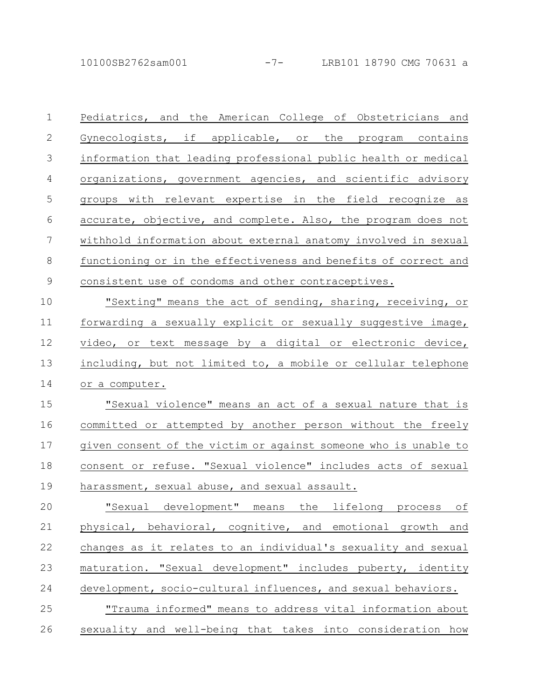10100SB2762sam001 -7- LRB101 18790 CMG 70631 a

Pediatrics, and the American College of Obstetricians and Gynecologists, if applicable, or the program contains information that leading professional public health or medical organizations, government agencies, and scientific advisory groups with relevant expertise in the field recognize as accurate, objective, and complete. Also, the program does not withhold information about external anatomy involved in sexual functioning or in the effectiveness and benefits of correct and consistent use of condoms and other contraceptives. "Sexting" means the act of sending, sharing, receiving, or forwarding a sexually explicit or sexually suggestive image, video, or text message by a digital or electronic device, including, but not limited to, a mobile or cellular telephone or a computer. "Sexual violence" means an act of a sexual nature that is committed or attempted by another person without the freely given consent of the victim or against someone who is unable to consent or refuse. "Sexual violence" includes acts of sexual harassment, sexual abuse, and sexual assault. "Sexual development" means the lifelong process of physical, behavioral, cognitive, and emotional growth and changes as it relates to an individual's sexuality and sexual maturation. "Sexual development" includes puberty, identity development, socio-cultural influences, and sexual behaviors. 1 2 3 4 5 6 7 8 9 10 11 12 13 14 15 16 17 18 19 20 21 22 23 24

"Trauma informed" means to address vital information about sexuality and well-being that takes into consideration how 25 26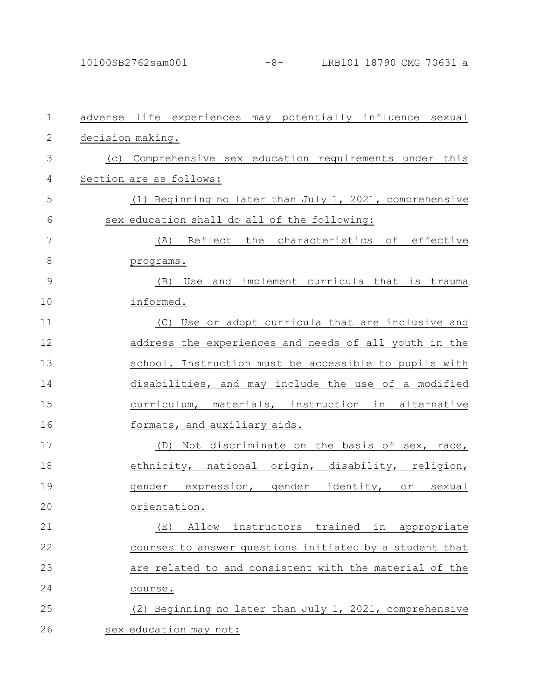| $\mathbf{1}$  | adverse life experiences may potentially influence sexual |
|---------------|-----------------------------------------------------------|
| $\mathbf{2}$  | decision making.                                          |
| 3             | (c) Comprehensive sex education requirements under this   |
| 4             | Section are as follows:                                   |
| 5             | (1) Beginning no later than July 1, 2021, comprehensive   |
| 6             | sex education shall do all of the following:              |
| 7             | (A) Reflect the characteristics of effective              |
| $\,8\,$       | programs.                                                 |
| $\mathcal{G}$ | Use and implement curricula that is trauma<br>(B)         |
| 10            | informed.                                                 |
| 11            | (C) Use or adopt curricula that are inclusive and         |
| 12            | address the experiences and needs of all youth in the     |
| 13            | school. Instruction must be accessible to pupils with     |
| 14            | disabilities, and may include the use of a modified       |
| 15            | curriculum, materials, instruction in alternative         |
| 16            | formats, and auxiliary aids.                              |
| 17            | (D) Not discriminate on the basis of sex, race,           |
| 18            | ethnicity, national origin, disability, religion,         |
| 19            | gender expression, gender identity, or<br>sexual          |
| 20            | orientation.                                              |
| 21            | instructors trained in appropriate<br>Allow<br>(E)        |
| 22            | courses to answer questions initiated by a student that   |
| 23            | are related to and consistent with the material of the    |
| 24            | course.                                                   |
| 25            | (2) Beginning no later than July 1, 2021, comprehensive   |
| 26            | sex education may not:                                    |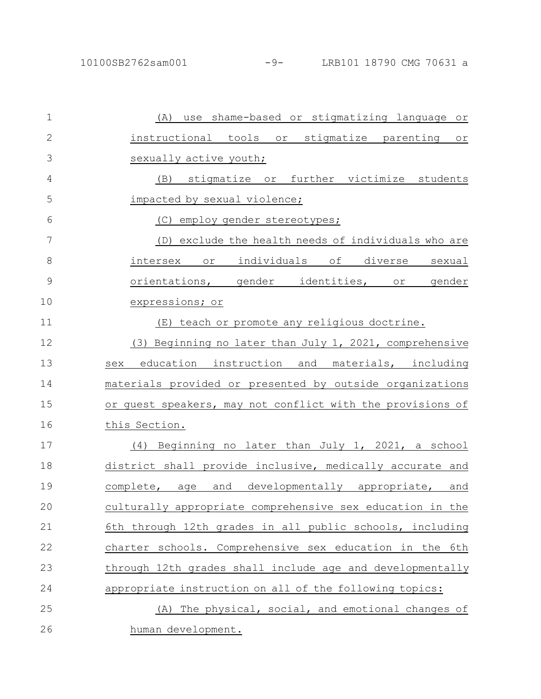| $\mathbf 1$   | (A) use shame-based or stigmatizing language or            |
|---------------|------------------------------------------------------------|
| $\mathbf{2}$  | instructional tools or stigmatize parenting or             |
| 3             | sexually active youth;                                     |
| 4             | (B) stigmatize or further victimize students               |
| 5             | impacted by sexual violence;                               |
| 6             | (C) employ gender stereotypes;                             |
| 7             | (D) exclude the health needs of individuals who are        |
| 8             | intersex or individuals of diverse sexual                  |
| $\mathcal{G}$ | orientations, gender identities, or gender                 |
| 10            | expressions; or                                            |
| 11            | (E) teach or promote any religious doctrine.               |
| 12            | (3) Beginning no later than July 1, 2021, comprehensive    |
| 13            | education instruction and materials, including<br>sex      |
| 14            | materials provided or presented by outside organizations   |
| 15            | or quest speakers, may not conflict with the provisions of |
| 16            | this Section.                                              |
| 17            | Beginning no later than July 1, 2021, a school<br>(4)      |
| 18            | district shall provide inclusive, medically accurate and   |
| 19            | and<br>developmentally appropriate, and<br>complete, age   |
| 20            | culturally appropriate comprehensive sex education in the  |
| 21            | 6th through 12th grades in all public schools, including   |
| 22            | charter schools. Comprehensive sex education in the 6th    |
| 23            | through 12th grades shall include age and developmentally  |
| 24            | appropriate instruction on all of the following topics:    |
| 25            | (A) The physical, social, and emotional changes of         |
| 26            | human development.                                         |
|               |                                                            |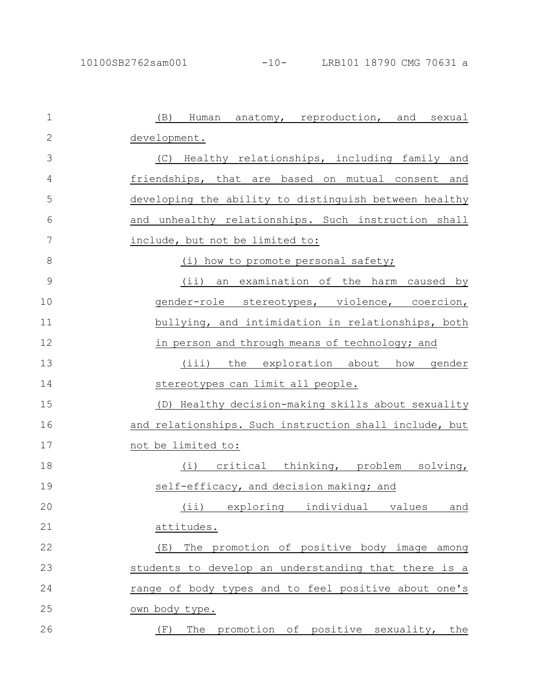| $\mathbf{1}$  | (B) Human anatomy, reproduction, and sexual            |
|---------------|--------------------------------------------------------|
| 2             | development.                                           |
| 3             | (C) Healthy relationships, including family and        |
| 4             | friendships, that are based on mutual consent and      |
| 5             | developing the ability to distinguish between healthy  |
| 6             | and unhealthy relationships. Such instruction shall    |
| 7             | include, but not be limited to:                        |
| 8             | (i) how to promote personal safety;                    |
| $\mathcal{G}$ | (ii) an examination of the harm caused by              |
| 10            | gender-role stereotypes, violence, coercion,           |
| 11            | bullying, and intimidation in relationships, both      |
| 12            | in person and through means of technology; and         |
| 13            | (iii)<br>the exploration about<br>gender<br>how        |
| 14            | stereotypes can limit all people.                      |
| 15            | (D) Healthy decision-making skills about sexuality     |
| 16            | and relationships. Such instruction shall include, but |
| 17            | not be limited to:                                     |
| 18            | (i) critical thinking, problem solving,                |
| 19            | self-efficacy, and decision making; and                |
| 20            | (ii) exploring individual<br>values<br>and             |
| 21            | attitudes.                                             |
| 22            | The promotion of positive body image among<br>(E)      |
| 23            | students to develop an understanding that there is a   |
| 24            | range of body types and to feel positive about one's   |
| 25            | own body type.                                         |
| 26            | The promotion of positive sexuality, the<br>(F)        |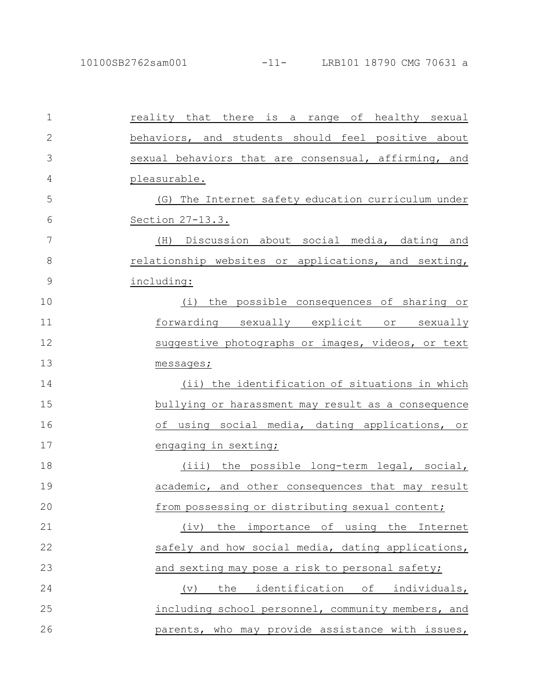| $\mathbf 1$  | reality that there is a range of healthy sexual      |
|--------------|------------------------------------------------------|
| $\mathbf{2}$ | behaviors, and students should feel positive about   |
| 3            | sexual behaviors that are consensual, affirming, and |
| 4            | pleasurable.                                         |
| 5            | (G) The Internet safety education curriculum under   |
| 6            | <u>Section 27-13.3.</u>                              |
| 7            | (H) Discussion about social media, dating and        |
| 8            | relationship websites or applications, and sexting,  |
| $\mathsf 9$  | including:                                           |
| 10           | (i) the possible consequences of sharing or          |
| 11           | forwarding sexually explicit or sexually             |
| 12           | suggestive photographs or images, videos, or text    |
| 13           | messages;                                            |
| 14           | (ii) the identification of situations in which       |
| 15           | bullying or harassment may result as a consequence   |
| 16           | of using social media, dating applications, or       |
| 17           | engaging in sexting;                                 |
| 18           | (iii) the possible long-term legal, social,          |
| 19           | academic, and other consequences that may result     |
| 20           | from possessing or distributing sexual content;      |
| 21           | the importance of using the Internet<br>(iv)         |
| 22           | safely and how social media, dating applications,    |
| 23           | and sexting may pose a risk to personal safety;      |
| 24           | the<br>identification of individuals,<br>(v)         |
| 25           | including school personnel, community members, and   |
| 26           | parents, who may provide assistance with issues,     |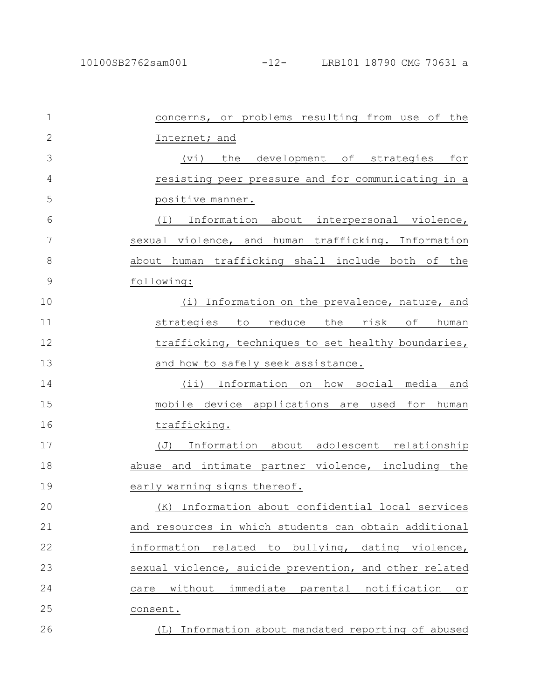| $\mathbf 1$  | concerns, or problems resulting from use of the             |
|--------------|-------------------------------------------------------------|
| $\mathbf{2}$ | Internet; and                                               |
| 3            | development of strategies for<br>(vi)<br>the                |
| 4            | resisting peer pressure and for communicating in a          |
| 5            | positive manner.                                            |
| 6            | Information about interpersonal violence,<br>$(\top)$       |
| 7            | sexual violence, and human trafficking. Information         |
| 8            | about human trafficking shall include both of the           |
| 9            | following:                                                  |
| 10           | Information on the prevalence, nature, and<br>(i)           |
| 11           | strategies to<br>reduce<br>the<br>risk<br>of<br>human       |
| 12           | trafficking, techniques to set healthy boundaries,          |
| 13           | and how to safely seek assistance.                          |
| 14           | Information on how social media<br>$(i$ i)<br>and           |
| 15           | mobile device applications are used for human               |
| 16           | trafficking.                                                |
| 17           | Information about adolescent relationship<br>$(\mathbb{J})$ |
| 18           | abuse and intimate partner violence, including the          |
| 19           | early warning signs thereof.                                |
| 20           | (K) Information about confidential local services           |
| 21           | and resources in which students can obtain additional       |
| 22           | information related to bullying, dating violence,           |
| 23           | sexual violence, suicide prevention, and other related      |
| 24           | without immediate parental notification or<br>care          |
| 25           | consent.                                                    |
| 26           | Information about mandated reporting of abused<br>(L)       |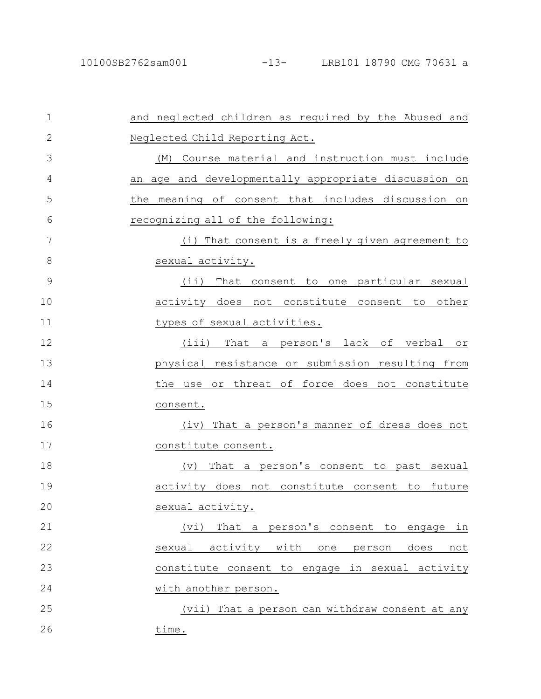| $\mathbf{1}$  | and neglected children as required by the Abused and        |
|---------------|-------------------------------------------------------------|
| $\mathbf{2}$  | Neglected Child Reporting Act.                              |
| 3             | (M) Course material and instruction must include            |
| 4             | an age and developmentally appropriate discussion on        |
| 5             | the meaning of consent that includes discussion on          |
| 6             | recognizing all of the following:                           |
| 7             | (i) That consent is a freely given agreement to             |
| 8             | sexual activity.                                            |
| $\mathcal{G}$ | (ii) That consent to one particular sexual                  |
| 10            | activity does not constitute consent to other               |
| 11            | types of sexual activities.                                 |
| 12            | (iii) That a person's lack of verbal or                     |
| 13            | physical resistance or submission resulting from            |
| 14            | the use or threat of force does not constitute              |
| 15            | consent.                                                    |
| 16            | (iv) That a person's manner of dress does not               |
| 17            | constitute consent.                                         |
| 18            | That a person's consent to past sexual<br>$(\triangledown)$ |
| 19            | activity does not constitute consent to future              |
| 20            | sexual activity.                                            |
| 21            | That a person's consent to engage in<br>(vi)                |
| 22            | sexual<br>activity with<br>does<br>one<br>person<br>not     |
| 23            | constitute consent to engage in sexual activity             |
| 24            | with another person.                                        |
| 25            | (vii) That a person can withdraw consent at any             |
| 26            | time.                                                       |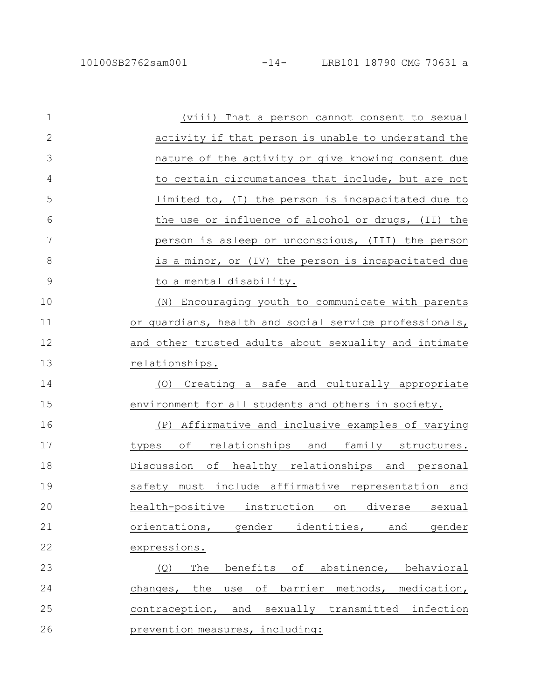| $\mathbf 1$   | (viii) That a person cannot consent to sexual             |
|---------------|-----------------------------------------------------------|
| $\mathbf{2}$  | activity if that person is unable to understand the       |
| 3             | nature of the activity or give knowing consent due        |
| 4             | to certain circumstances that include, but are not        |
| 5             | limited to, (I) the person is incapacitated due to        |
| 6             | the use or influence of alcohol or drugs, (II) the        |
| 7             | person is asleep or unconscious, (III) the person         |
| 8             | is a minor, or (IV) the person is incapacitated due       |
| $\mathcal{G}$ | to a mental disability.                                   |
| 10            | (N) Encouraging youth to communicate with parents         |
| 11            | or guardians, health and social service professionals,    |
| 12            | and other trusted adults about sexuality and intimate     |
| 13            | relationships.                                            |
| 14            | Creating a safe and culturally appropriate<br>(O)         |
| 15            | environment for all students and others in society.       |
| 16            | Affirmative and inclusive examples of varying<br>(P)      |
| 17            | relationships and family structures.<br>оf<br>types       |
| 18            | of healthy relationships and personal<br>Discussion       |
| 19            | safety must include affirmative representation and        |
| 20            | health-positive<br>instruction<br>diverse<br>sexual<br>on |
| 21            | orientations,<br>gender<br>identities,<br>and<br>gender   |
| 22            | expressions.                                              |
| 23            | benefits of abstinence, behavioral<br>(Q)<br>The          |
| 24            | use of barrier methods, medication,<br>the<br>changes,    |
| 25            | and sexually transmitted infection<br>contraception,      |
| 26            | prevention measures, including:                           |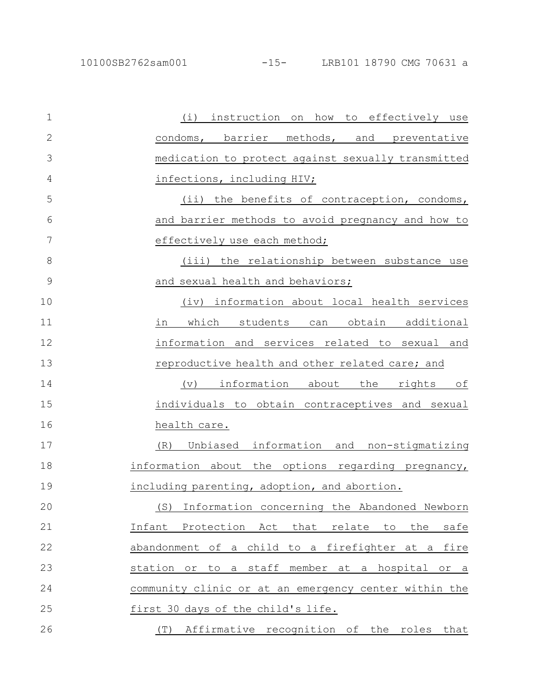(i) instruction on how to effectively use condoms, barrier methods, and preventative medication to protect against sexually transmitted infections, including HIV; (ii) the benefits of contraception, condoms, and barrier methods to avoid pregnancy and how to effectively use each method; (iii) the relationship between substance use and sexual health and behaviors; (iv) information about local health services in which students can obtain additional information and services related to sexual and reproductive health and other related care; and (v) information about the rights of individuals to obtain contraceptives and sexual health care. (R) Unbiased information and non-stigmatizing information about the options regarding pregnancy, including parenting, adoption, and abortion. (S) Information concerning the Abandoned Newborn Infant Protection Act that relate to the safe abandonment of a child to a firefighter at a fire station or to a staff member at a hospital or a community clinic or at an emergency center within the first 30 days of the child's life. (T) Affirmative recognition of the roles that 1 2 3 4 5 6 7 8 9 10 11 12 13 14 15 16 17 18 19 20 21 22 23 24 25 26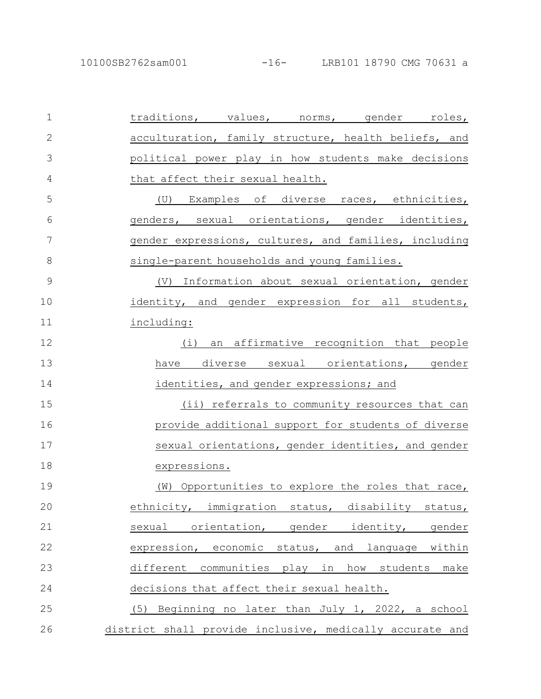| $\mathbf 1$  | traditions, values, norms, gender roles,                  |
|--------------|-----------------------------------------------------------|
| $\mathbf{2}$ | acculturation, family structure, health beliefs, and      |
| 3            | political power play in how students make decisions       |
| 4            | that affect their sexual health.                          |
| 5            | (U) Examples of diverse races, ethnicities,               |
| 6            | genders, sexual orientations, gender identities,          |
| 7            | gender expressions, cultures, and families, including     |
| 8            | single-parent households and young families.              |
| 9            | (V) Information about sexual orientation, gender          |
| 10           | identity, and gender expression for all students,         |
| 11           | including:                                                |
| 12           | $(\dot{\perp})$<br>an affirmative recognition that people |
| 13           | diverse sexual orientations, gender<br>have               |
| 14           | identities, and gender expressions; and                   |
| 15           | (ii) referrals to community resources that can            |
| 16           | provide additional support for students of diverse        |
| 17           | sexual orientations, gender identities, and gender        |
| 18           | expressions.                                              |
| 19           | (W) Opportunities to explore the roles that race,         |
| 20           | ethnicity, immigration status, disability status,         |
| 21           | sexual orientation, gender identity, gender               |
| 22           | expression, economic status, and language within          |
| 23           | different communities play in how students make           |
| 24           | decisions that affect their sexual health.                |
| 25           | (5) Beginning no later than July 1, 2022, a school        |
| 26           | district shall provide inclusive, medically accurate and  |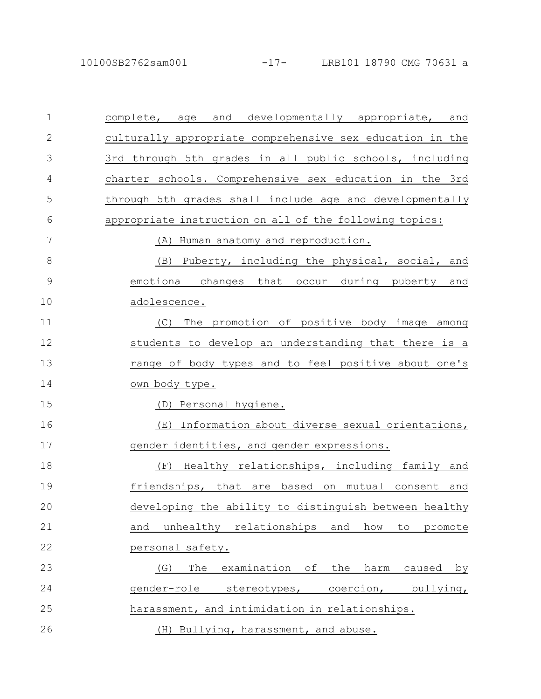| $\mathbf 1$   | complete, age and developmentally appropriate, and        |
|---------------|-----------------------------------------------------------|
| $\mathbf{2}$  | culturally appropriate comprehensive sex education in the |
| 3             | 3rd through 5th grades in all public schools, including   |
| 4             | charter schools. Comprehensive sex education in the 3rd   |
| 5             | through 5th grades shall include age and developmentally  |
| 6             | appropriate instruction on all of the following topics:   |
| 7             | (A) Human anatomy and reproduction.                       |
| 8             | (B) Puberty, including the physical, social, and          |
| $\mathcal{G}$ | emotional changes that occur during puberty and           |
| 10            | adolescence.                                              |
| 11            | The promotion of positive body image among<br>(C)         |
| 12            | students to develop an understanding that there is a      |
| 13            | range of body types and to feel positive about one's      |
| 14            | own body type.                                            |
| 15            | (D) Personal hygiene.                                     |
| 16            | (E) Information about diverse sexual orientations,        |
| 17            | gender identities, and gender expressions.                |
| 18            | (F) Healthy relationships, including family and           |
| 19            | friendships, that are based on mutual consent and         |
| 20            | developing the ability to distinguish between healthy     |
| 21            | unhealthy relationships and how<br>and<br>to<br>promote   |
| 22            | personal safety.                                          |
| 23            | The<br>examination of<br>(G)<br>the harm caused<br>by     |
| 24            | gender-role stereotypes, coercion, bullying,              |
| 25            | harassment, and intimidation in relationships.            |
| 26            | (H) Bullying, harassment, and abuse.                      |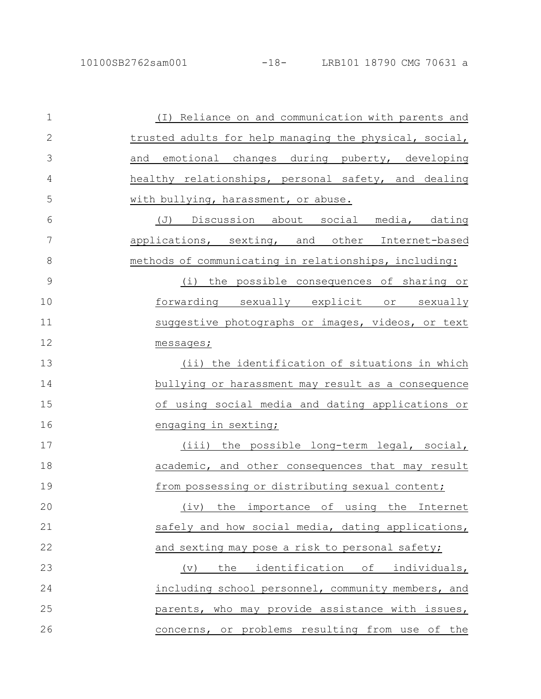| $\mathbf{1}$ | (I) Reliance on and communication with parents and     |
|--------------|--------------------------------------------------------|
| $\mathbf{2}$ | trusted adults for help managing the physical, social, |
| 3            | and emotional changes during puberty, developing       |
| 4            | healthy relationships, personal safety, and dealing    |
| 5            | with bullying, harassment, or abuse.                   |
| 6            | (J) Discussion about social media, dating              |
| 7            | applications, sexting, and other Internet-based        |
| $\,8\,$      | methods of communicating in relationships, including:  |
| 9            | (i) the possible consequences of sharing or            |
| 10           | forwarding sexually explicit or sexually               |
| 11           | suggestive photographs or images, videos, or text      |
| 12           | messages;                                              |
| 13           | (ii) the identification of situations in which         |
| 14           | bullying or harassment may result as a consequence     |
| 15           | of using social media and dating applications or       |
| 16           | engaging in sexting;                                   |
| 17           | (iii) the possible long-term legal, social,            |
| 18           | academic, and other consequences that may result       |
| 19           | from possessing or distributing sexual content;        |
| 20           | importance of<br>using the<br>(iv)<br>the<br>Internet  |
| 21           | safely and how social media, dating applications,      |
| 22           | and sexting may pose a risk to personal safety;        |
| 23           | identification of individuals,<br>the<br>(v)           |
| 24           | including school personnel, community members, and     |
| 25           | parents, who may provide assistance with issues,       |
| 26           | concerns, or problems resulting from use of the        |
|              |                                                        |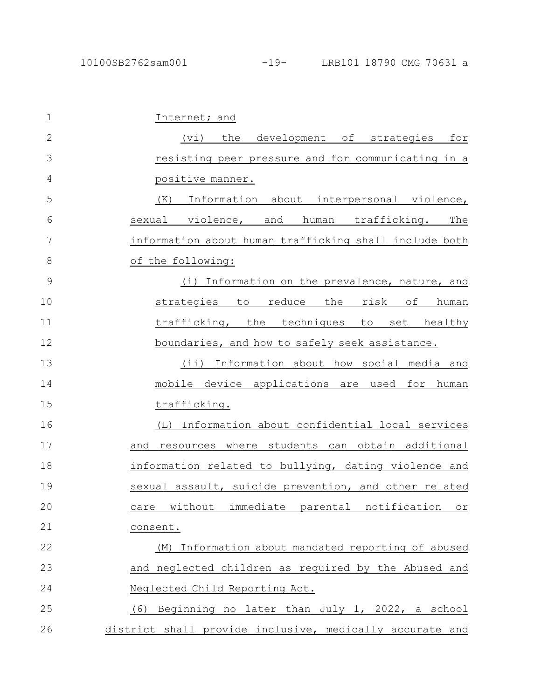| $\mathbf{1}$  | Internet; and                                            |
|---------------|----------------------------------------------------------|
| $\mathbf{2}$  | (vi) the development of strategies for                   |
| 3             | resisting peer pressure and for communicating in a       |
| 4             | positive manner.                                         |
| 5             | Information about interpersonal violence,<br>(K)         |
| 6             | sexual violence, and human trafficking. The              |
| 7             | information about human trafficking shall include both   |
| 8             | of the following:                                        |
| $\mathcal{G}$ | (i) Information on the prevalence, nature, and           |
| 10            | strategies to reduce the risk of human                   |
| 11            | trafficking, the techniques to set healthy               |
| 12            | boundaries, and how to safely seek assistance.           |
| 13            | $(i$ i)<br>Information about how social media and        |
| 14            | mobile device applications are used for<br>human         |
| 15            | trafficking.                                             |
| 16            | (L) Information about confidential local services        |
| 17            | and resources where students can obtain additional       |
| 18            | information related to bullying, dating violence and     |
| 19            | sexual assault, suicide prevention, and other related    |
| 20            | care without immediate parental notification or          |
| 21            | consent.                                                 |
| 22            | Information about mandated reporting of abused<br>(M)    |
| 23            | and neglected children as required by the Abused and     |
| 24            | Neglected Child Reporting Act.                           |
| 25            | (6) Beginning no later than July 1, 2022, a school       |
| 26            | district shall provide inclusive, medically accurate and |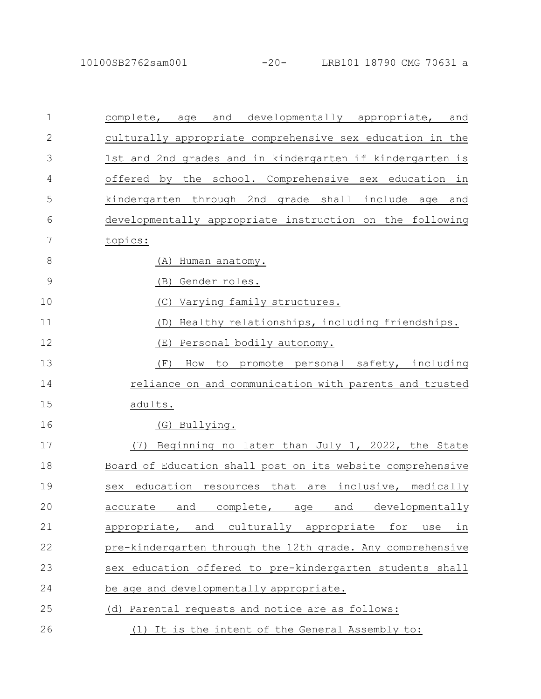| $\mathbf 1$   | and<br>developmentally appropriate,<br>complete,<br>age<br>and |
|---------------|----------------------------------------------------------------|
| $\mathbf{2}$  | culturally appropriate comprehensive sex education in the      |
| 3             | 1st and 2nd grades and in kindergarten if kindergarten is      |
| 4             | offered by the school. Comprehensive sex education in          |
| 5             | kindergarten through 2nd grade shall include age and           |
| 6             | developmentally appropriate instruction on the following       |
| 7             | topics:                                                        |
| 8             | Human anatomy.<br>(A)                                          |
| $\mathcal{G}$ | (B)<br>Gender roles.                                           |
| 10            | Varying family structures.<br>(C)                              |
| 11            | Healthy relationships, including friendships.<br>(D)           |
| 12            | Personal bodily autonomy.<br>(E)                               |
| 13            | (F)<br>promote personal safety, including<br>How<br>to         |
| 14            | reliance on and communication with parents and trusted         |
| 15            | adults.                                                        |
| 16            | (G) Bullying.                                                  |
| 17            | Beginning no later than July 1, 2022, the State<br>(7)         |
| 18            | Board of Education shall post on its website comprehensive     |
| 19            | education resources that are<br>inclusive, medically<br>sex    |
| 20            | complete,<br>and<br>developmentally<br>and<br>accurate<br>age  |
| 21            | appropriate, and culturally appropriate for<br>in<br>use       |
| 22            | pre-kindergarten through the 12th grade. Any comprehensive     |
| 23            | sex education offered to pre-kindergarten students shall       |
| 24            | be age and developmentally appropriate.                        |
| 25            | (d) Parental requests and notice are as follows:               |
| 26            | (1) It is the intent of the General Assembly to:               |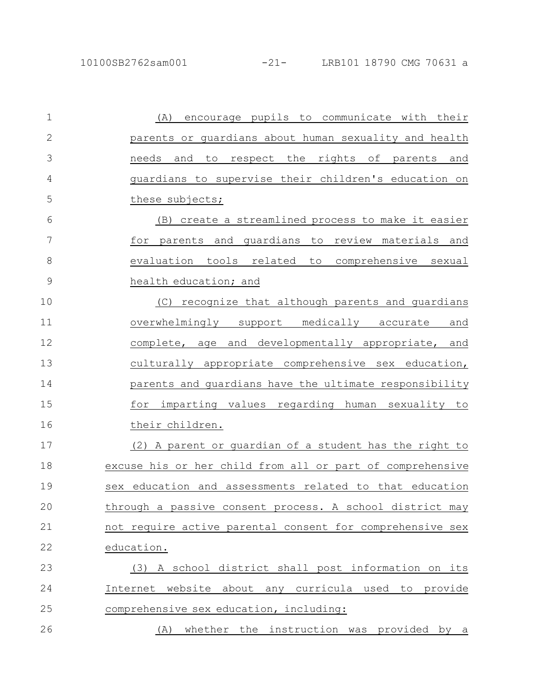| $\mathbf 1$   | encourage pupils to communicate with their<br>(A)          |
|---------------|------------------------------------------------------------|
| $\mathbf{2}$  | parents or quardians about human sexuality and health      |
| 3             | respect the rights of parents and<br>needs and<br>to       |
| 4             | guardians to supervise their children's education on       |
| 5             | these subjects;                                            |
| 6             | (B) create a streamlined process to make it easier         |
| 7             | for parents and quardians to review materials and          |
| 8             | evaluation tools related to comprehensive sexual           |
| $\mathcal{G}$ | health education; and                                      |
| 10            | (C) recognize that although parents and guardians          |
| 11            | overwhelmingly support medically accurate<br>and           |
| 12            | complete, age and developmentally appropriate, and         |
| 13            | culturally appropriate comprehensive sex education,        |
| 14            | parents and guardians have the ultimate responsibility     |
| 15            | imparting values regarding human sexuality to<br>for       |
| 16            | their children.                                            |
| 17            | (2) A parent or quardian of a student has the right to     |
| 18            | excuse his or her child from all or part of comprehensive  |
| 19            | education and assessments related to that education<br>sex |
| 20            | through a passive consent process. A school district may   |
| 21            | not require active parental consent for comprehensive sex  |
| 22            | education.                                                 |
| 23            | (3) A school district shall post information on its        |
| 24            | Internet website about any curricula used to provide       |
| 25            | comprehensive sex education, including:                    |
| 26            | whether the instruction was provided by a<br>(A)           |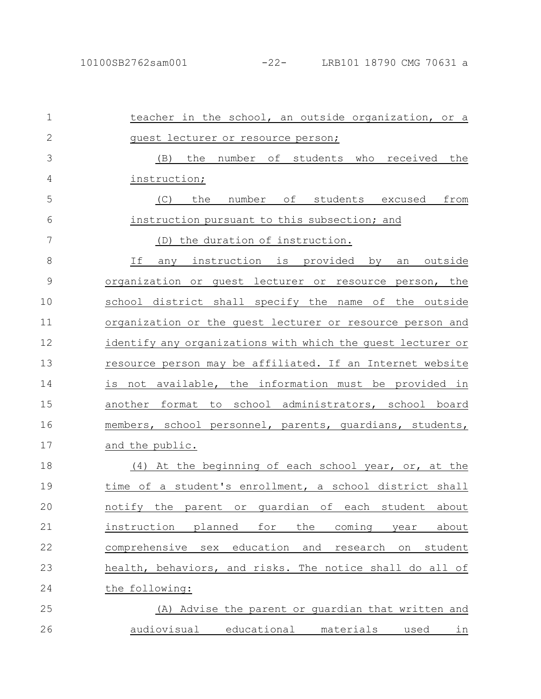| $\mathbf 1$   | teacher in the school, an outside organization, or a                  |
|---------------|-----------------------------------------------------------------------|
| $\mathbf{2}$  | quest lecturer or resource person;                                    |
| 3             | the<br>number of students who received the<br>(B)                     |
| 4             | instruction;                                                          |
| 5             | the number of students excused from<br>(C)                            |
| 6             | instruction pursuant to this subsection; and                          |
| 7             | (D) the duration of instruction.                                      |
| 8             | If<br>any instruction is provided by<br><u>outside</u><br>an          |
| $\mathcal{G}$ | organization or guest lecturer or resource person, the                |
| 10            | school district shall specify the name of the outside                 |
| 11            | organization or the quest lecturer or resource person and             |
| 12            | identify any organizations with which the guest lecturer or           |
| 13            | resource person may be affiliated. If an Internet website             |
| 14            | is not available, the information must be provided in                 |
| 15            | another format to school administrators, school board                 |
| 16            | members, school personnel, parents, quardians, students,              |
| 17            | and the public.                                                       |
| 18            | (4) At the beginning of each school year, or, at the                  |
| 19            | time of a student's enrollment, a school district shall               |
| 20            | notify the parent or guardian of each student about                   |
| 21            | instruction<br>planned<br>for<br>about<br>the<br>coming<br>year       |
| 22            | education<br>comprehensive<br>sex<br>and<br>research<br>student<br>on |
| 23            | health, behaviors, and risks. The notice shall do all of              |
| 24            | the following:                                                        |
| 25            | (A) Advise the parent or quardian that written and                    |
| 26            | audiovisual educational materials<br>used<br>in                       |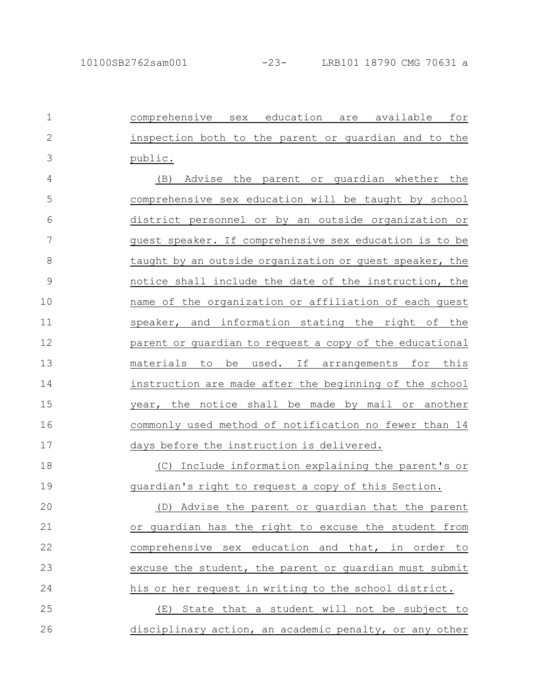comprehensive sex education are available for inspection both to the parent or guardian and to the public. (B) Advise the parent or guardian whether the comprehensive sex education will be taught by school district personnel or by an outside organization or guest speaker. If comprehensive sex education is to be taught by an outside organization or guest speaker, the notice shall include the date of the instruction, the name of the organization or affiliation of each guest speaker, and information stating the right of the parent or guardian to request a copy of the educational materials to be used. If arrangements for this instruction are made after the beginning of the school year, the notice shall be made by mail or another commonly used method of notification no fewer than 14 days before the instruction is delivered. (C) Include information explaining the parent's or guardian's right to request a copy of this Section. (D) Advise the parent or guardian that the parent or guardian has the right to excuse the student from comprehensive sex education and that, in order to excuse the student, the parent or guardian must submit his or her request in writing to the school district. (E) State that a student will not be subject to disciplinary action, an academic penalty, or any other 1 2 3 4 5 6 7 8 9 10 11 12 13 14 15 16 17 18 19 20 21 22 23 24 25 26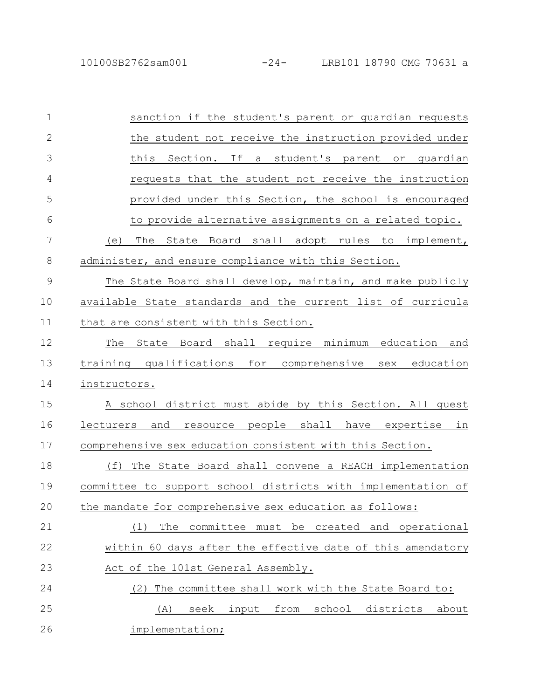| sanction if the student's parent or guardian requests        |
|--------------------------------------------------------------|
| the student not receive the instruction provided under       |
| If<br>this Section.<br>a student's parent or quardian        |
| requests that the student not receive the instruction        |
| provided under this Section, the school is encouraged        |
| to provide alternative assignments on a related topic.       |
| (e) The State Board shall adopt rules to implement,          |
| administer, and ensure compliance with this Section.         |
| The State Board shall develop, maintain, and make publicly   |
| available State standards and the current list of curricula  |
| that are consistent with this Section.                       |
| State Board shall require minimum education and<br>The       |
|                                                              |
| training qualifications for comprehensive sex education      |
| instructors.                                                 |
| A school district must abide by this Section. All quest      |
| and resource people shall have expertise in<br>lecturers     |
| comprehensive sex education consistent with this Section.    |
| The State Board shall convene a REACH implementation<br>(f)  |
| committee to support school districts with implementation of |
| the mandate for comprehensive sex education as follows:      |
| committee must be created and operational<br>The<br>(1)      |
| within 60 days after the effective date of this amendatory   |
| Act of the 101st General Assembly.                           |
| The committee shall work with the State Board to:<br>(2)     |
| input<br>from<br>school<br>districts<br>seek<br>about<br>(A) |
|                                                              |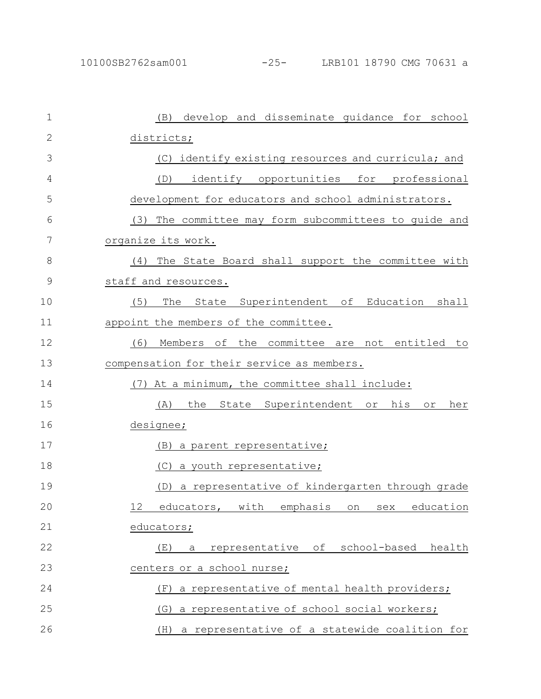| $\mathbf 1$  | develop and disseminate guidance for school<br>(B)               |
|--------------|------------------------------------------------------------------|
| $\mathbf{2}$ | districts;                                                       |
| 3            | (C) identify existing resources and curricula; and               |
| 4            | identify opportunities for professional<br>(D)                   |
| 5            | development for educators and school administrators.             |
| 6            | (3) The committee may form subcommittees to guide and            |
| 7            | organize its work.                                               |
| 8            | (4) The State Board shall support the committee with             |
| 9            | staff and resources.                                             |
| 10           | The State Superintendent of Education shall<br>(5)               |
| 11           | appoint the members of the committee.                            |
| 12           | (6)<br>Members of the committee are not entitled to              |
| 13           | compensation for their service as members.                       |
| 14           | (7) At a minimum, the committee shall include:                   |
| 15           | the<br>State Superintendent or<br>his<br>(A)<br>her<br>$\circ r$ |
| 16           | designee;                                                        |
| 17           | <u>(B) a parent representative;</u>                              |
| 18           | (C) a youth representative;                                      |
| 19           | a representative of kindergarten through grade<br>(D)            |
| 20           | educators, with emphasis on sex education<br>12                  |
| 21           | educators;                                                       |
| 22           | representative of<br>school-based health<br>(E)<br>а             |
| 23           | centers or a school nurse;                                       |
| 24           | a representative of mental health providers;<br>(F)              |
| 25           | a representative of school social workers;<br>(G)                |
| 26           | a representative of a statewide coalition for<br>(H)             |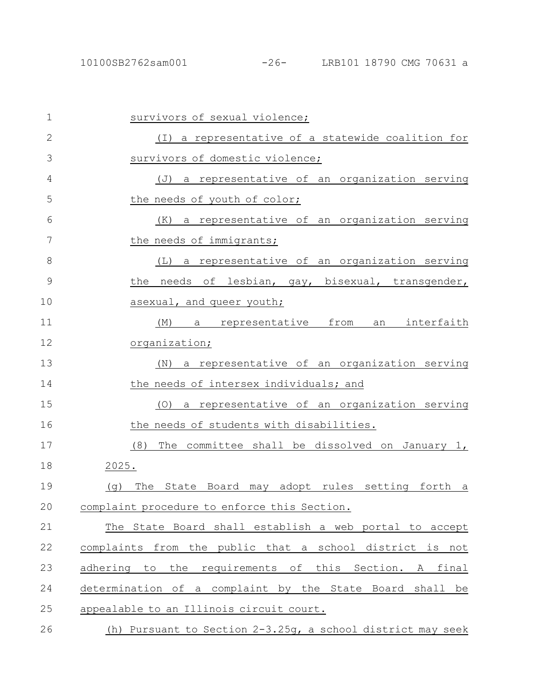## 10100SB2762sam001 -26- LRB101 18790 CMG 70631 a

| $\mathbf 1$    | survivors of sexual violence;                               |
|----------------|-------------------------------------------------------------|
| $\overline{2}$ | (I) a representative of a statewide coalition for           |
| 3              | survivors of domestic violence;                             |
| 4              | (J) a representative of an organization serving             |
| 5              | the needs of youth of color;                                |
| 6              | (K) a representative of an organization serving             |
| 7              | the needs of immigrants;                                    |
| 8              | (L) a representative of an organization serving             |
| $\mathcal{G}$  | needs of lesbian, gay, bisexual, transgender,<br>the        |
| 10             | asexual, and queer youth;                                   |
| 11             | a representative from<br>an interfaith<br>(M)               |
| 12             | organization;                                               |
| 13             | a representative of an organization serving<br>(N)          |
| 14             | the needs of intersex individuals; and                      |
| 15             | a representative of an organization serving<br>(O)          |
| 16             | the needs of students with disabilities.                    |
| 17             | (8)<br>The committee shall be dissolved on January 1,       |
| 18             | 2025.                                                       |
| 19             | The State Board may adopt rules setting forth a<br>(q)      |
| $20$           | complaint procedure to enforce this Section.                |
| 21             | The State Board shall establish a web portal to accept      |
| 22             | complaints from the public that a school district is not    |
| 23             | adhering to the requirements of this Section. A final       |
| 24             | determination of a complaint by the State Board shall be    |
| 25             | appealable to an Illinois circuit court.                    |
| 26             | (h) Pursuant to Section 2-3.25q, a school district may seek |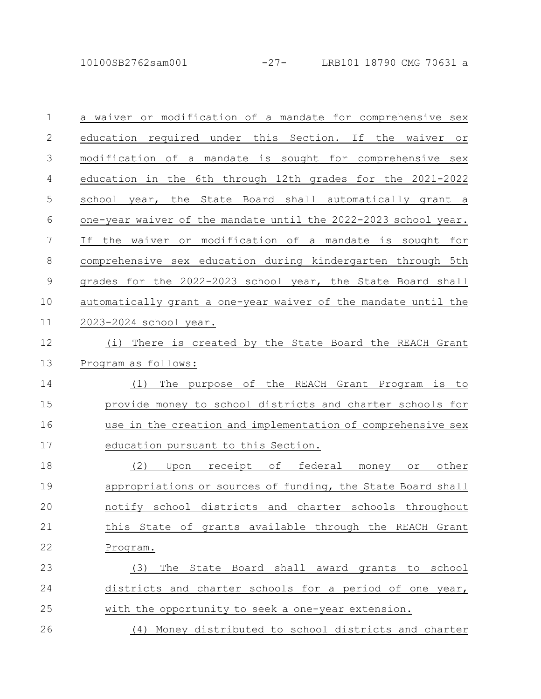10100SB2762sam001 -27- LRB101 18790 CMG 70631 a

| $\mathbf 1$  | a waiver or modification of a mandate for comprehensive sex            |
|--------------|------------------------------------------------------------------------|
| $\mathbf{2}$ | education required under this Section. If the waiver<br>O <sub>L</sub> |
| 3            | modification of a mandate is sought for comprehensive sex              |
| 4            | education in the 6th through 12th grades for the 2021-2022             |
| 5            | school year, the State Board shall automatically grant a               |
| 6            | one-year waiver of the mandate until the 2022-2023 school year.        |
| 7            | the waiver or modification of a mandate is sought for<br>If            |
| 8            | comprehensive sex education during kindergarten through 5th            |
| $\mathsf 9$  | grades for the 2022-2023 school year, the State Board shall            |
| 10           | automatically grant a one-year waiver of the mandate until the         |
| 11           | 2023-2024 school year.                                                 |
| 12           | There is created by the State Board the REACH Grant<br>(i)             |
| 13           | Program as follows:                                                    |
| 14           | The purpose of the REACH Grant Program is to<br>(1)                    |
| 15           | provide money to school districts and charter schools for              |
| 16           | use in the creation and implementation of comprehensive sex            |
| 17           | education pursuant to this Section.                                    |
| 18           | (2)<br>Upon receipt of federal money or other                          |
| 19           | appropriations or sources of funding, the State Board shall            |
| 20           | school districts and charter schools throughout<br>notify              |
| 21           | this State of grants available through the REACH Grant                 |
| 22           | Program.                                                               |
| 23           | The State Board shall award grants to school<br>(3)                    |
| 24           | districts and charter schools for a period of one year,                |
| 25           | with the opportunity to seek a one-year extension.                     |
| 26           | (4) Money distributed to school districts and charter                  |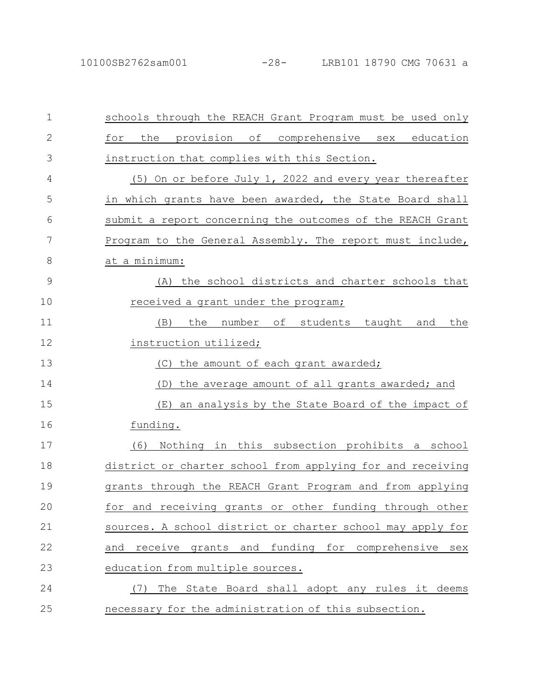| $\mathbf 1$   | schools through the REACH Grant Program must be used only  |
|---------------|------------------------------------------------------------|
| $\mathbf{2}$  | provision of comprehensive sex education<br>the<br>for     |
| 3             | instruction that complies with this Section.               |
| 4             | (5) On or before July 1, 2022 and every year thereafter    |
| 5             | in which grants have been awarded, the State Board shall   |
| 6             | submit a report concerning the outcomes of the REACH Grant |
| 7             | Program to the General Assembly. The report must include,  |
| 8             | at a minimum:                                              |
| $\mathcal{G}$ | (A) the school districts and charter schools that          |
| 10            | received a grant under the program;                        |
| 11            | the number of students taught and<br>the<br>(B)            |
| 12            | instruction utilized;                                      |
| 13            | (C) the amount of each grant awarded;                      |
| 14            | the average amount of all grants awarded; and<br>(D)       |
| 15            | an analysis by the State Board of the impact of<br>(E)     |
| 16            | funding.                                                   |
| 17            | Nothing in this subsection prohibits a school<br>(6)       |
| 18            | district or charter school from applying for and receiving |
| 19            | grants through the REACH Grant Program and from applying   |
| 20            | receiving grants or other funding through other<br>for and |
| 21            | sources. A school district or charter school may apply for |
| 22            | receive grants and funding for comprehensive<br>and<br>sex |
| 23            | education from multiple sources.                           |
| 24            | The State Board shall adopt any rules it deems<br>(7)      |
| 25            | necessary for the administration of this subsection.       |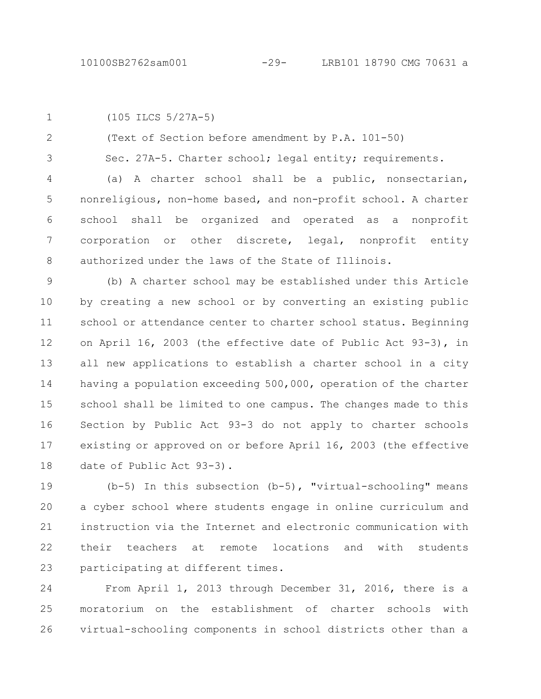(105 ILCS 5/27A-5) 1

(Text of Section before amendment by P.A. 101-50) 2

Sec. 27A-5. Charter school; legal entity; requirements. 3

(a) A charter school shall be a public, nonsectarian, nonreligious, non-home based, and non-profit school. A charter school shall be organized and operated as a nonprofit corporation or other discrete, legal, nonprofit entity authorized under the laws of the State of Illinois. 4 5 6 7 8

(b) A charter school may be established under this Article by creating a new school or by converting an existing public school or attendance center to charter school status. Beginning on April 16, 2003 (the effective date of Public Act 93-3), in all new applications to establish a charter school in a city having a population exceeding 500,000, operation of the charter school shall be limited to one campus. The changes made to this Section by Public Act 93-3 do not apply to charter schools existing or approved on or before April 16, 2003 (the effective date of Public Act 93-3). 9 10 11 12 13 14 15 16 17 18

(b-5) In this subsection (b-5), "virtual-schooling" means a cyber school where students engage in online curriculum and instruction via the Internet and electronic communication with their teachers at remote locations and with students participating at different times. 19 20 21 22 23

From April 1, 2013 through December 31, 2016, there is a moratorium on the establishment of charter schools with virtual-schooling components in school districts other than a 24 25 26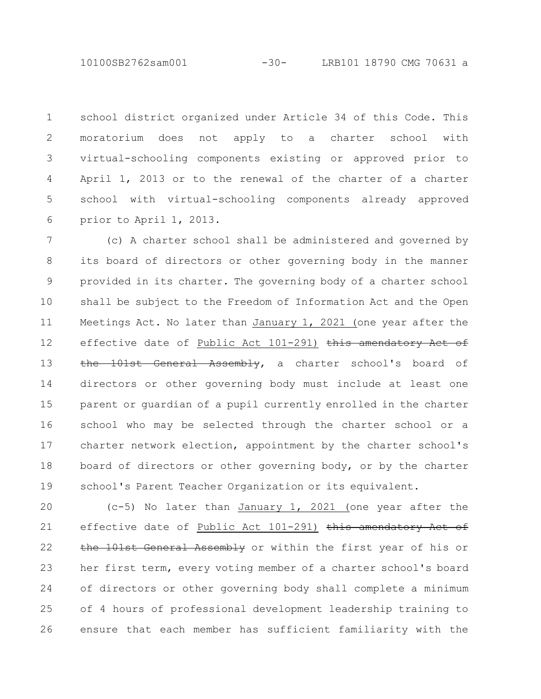10100SB2762sam001 -30- LRB101 18790 CMG 70631 a

school district organized under Article 34 of this Code. This moratorium does not apply to a charter school with virtual-schooling components existing or approved prior to April 1, 2013 or to the renewal of the charter of a charter school with virtual-schooling components already approved prior to April 1, 2013. 1 2 3 4 5 6

(c) A charter school shall be administered and governed by its board of directors or other governing body in the manner provided in its charter. The governing body of a charter school shall be subject to the Freedom of Information Act and the Open Meetings Act. No later than January 1, 2021 (one year after the effective date of Public Act 101-291) this amendatory Act of the 101st General Assembly, a charter school's board of directors or other governing body must include at least one parent or guardian of a pupil currently enrolled in the charter school who may be selected through the charter school or a charter network election, appointment by the charter school's board of directors or other governing body, or by the charter school's Parent Teacher Organization or its equivalent. 7 8 9 10 11 12 13 14 15 16 17 18 19

(c-5) No later than January 1, 2021 (one year after the effective date of Public Act 101-291) this amendatory Act of the 101st General Assembly or within the first year of his or her first term, every voting member of a charter school's board of directors or other governing body shall complete a minimum of 4 hours of professional development leadership training to ensure that each member has sufficient familiarity with the 20 21 22 23 24 25 26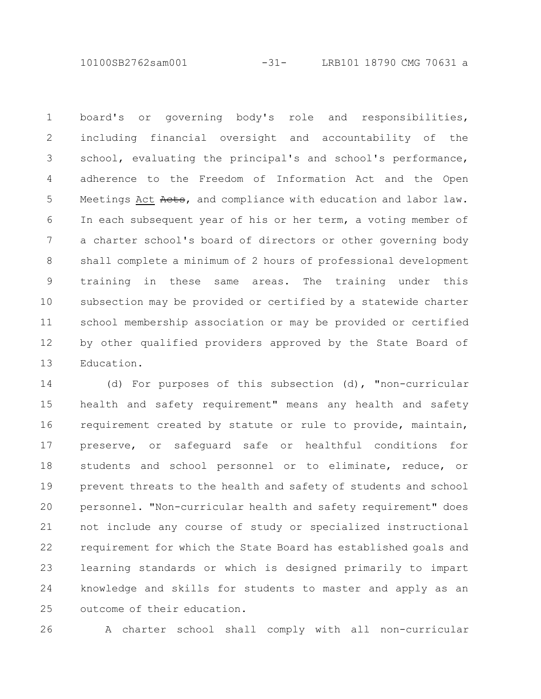10100SB2762sam001 -31- LRB101 18790 CMG 70631 a

board's or governing body's role and responsibilities, including financial oversight and accountability of the school, evaluating the principal's and school's performance, adherence to the Freedom of Information Act and the Open Meetings Act Aets, and compliance with education and labor law. In each subsequent year of his or her term, a voting member of a charter school's board of directors or other governing body shall complete a minimum of 2 hours of professional development training in these same areas. The training under this subsection may be provided or certified by a statewide charter school membership association or may be provided or certified by other qualified providers approved by the State Board of Education. 1 2 3 4 5 6 7 8 9 10 11 12 13

(d) For purposes of this subsection (d), "non-curricular health and safety requirement" means any health and safety requirement created by statute or rule to provide, maintain, preserve, or safeguard safe or healthful conditions for students and school personnel or to eliminate, reduce, or prevent threats to the health and safety of students and school personnel. "Non-curricular health and safety requirement" does not include any course of study or specialized instructional requirement for which the State Board has established goals and learning standards or which is designed primarily to impart knowledge and skills for students to master and apply as an outcome of their education. 14 15 16 17 18 19 20 21 22 23 24 25

26

A charter school shall comply with all non-curricular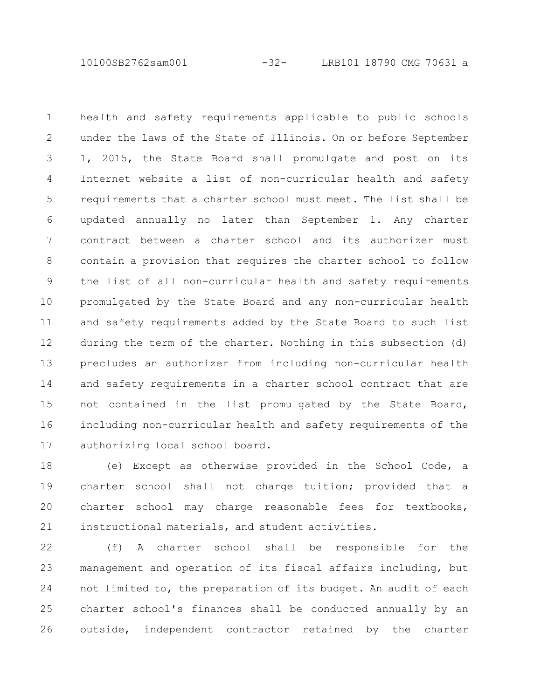10100SB2762sam001 -32- LRB101 18790 CMG 70631 a

health and safety requirements applicable to public schools under the laws of the State of Illinois. On or before September 1, 2015, the State Board shall promulgate and post on its Internet website a list of non-curricular health and safety requirements that a charter school must meet. The list shall be updated annually no later than September 1. Any charter contract between a charter school and its authorizer must contain a provision that requires the charter school to follow the list of all non-curricular health and safety requirements promulgated by the State Board and any non-curricular health and safety requirements added by the State Board to such list during the term of the charter. Nothing in this subsection (d) precludes an authorizer from including non-curricular health and safety requirements in a charter school contract that are not contained in the list promulgated by the State Board, including non-curricular health and safety requirements of the authorizing local school board. 1 2 3 4 5 6 7 8 9 10 11 12 13 14 15 16 17

(e) Except as otherwise provided in the School Code, a charter school shall not charge tuition; provided that a charter school may charge reasonable fees for textbooks, instructional materials, and student activities. 18 19 20 21

(f) A charter school shall be responsible for the management and operation of its fiscal affairs including, but not limited to, the preparation of its budget. An audit of each charter school's finances shall be conducted annually by an outside, independent contractor retained by the charter 22 23 24 25 26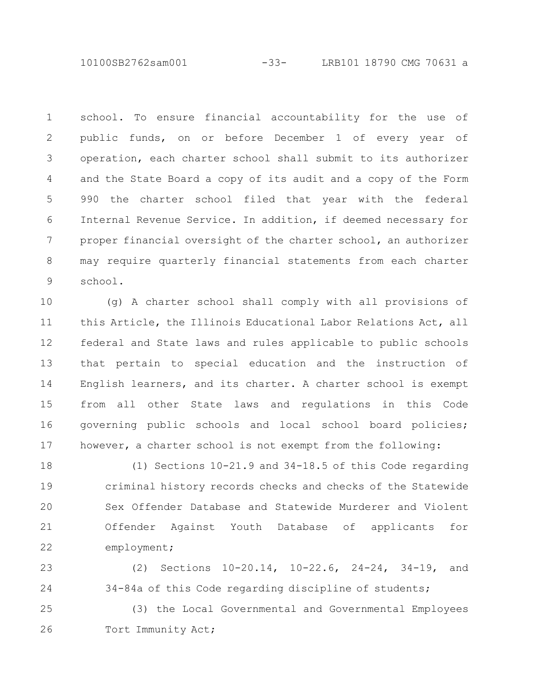10100SB2762sam001 -33- LRB101 18790 CMG 70631 a

school. To ensure financial accountability for the use of public funds, on or before December 1 of every year of operation, each charter school shall submit to its authorizer and the State Board a copy of its audit and a copy of the Form 990 the charter school filed that year with the federal Internal Revenue Service. In addition, if deemed necessary for proper financial oversight of the charter school, an authorizer may require quarterly financial statements from each charter school. 1 2 3 4 5 6 7 8 9

(g) A charter school shall comply with all provisions of this Article, the Illinois Educational Labor Relations Act, all federal and State laws and rules applicable to public schools that pertain to special education and the instruction of English learners, and its charter. A charter school is exempt from all other State laws and regulations in this Code governing public schools and local school board policies; however, a charter school is not exempt from the following: 10 11 12 13 14 15 16 17

(1) Sections 10-21.9 and 34-18.5 of this Code regarding criminal history records checks and checks of the Statewide Sex Offender Database and Statewide Murderer and Violent Offender Against Youth Database of applicants for employment; 18 19 20 21 22

(2) Sections 10-20.14, 10-22.6, 24-24, 34-19, and 34-84a of this Code regarding discipline of students; 23 24

(3) the Local Governmental and Governmental Employees Tort Immunity Act; 25 26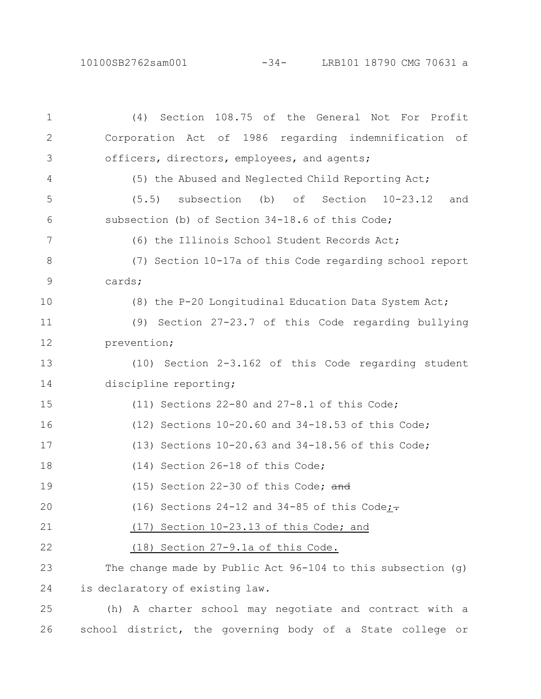10100SB2762sam001 -34- LRB101 18790 CMG 70631 a

(4) Section 108.75 of the General Not For Profit Corporation Act of 1986 regarding indemnification of officers, directors, employees, and agents; (5) the Abused and Neglected Child Reporting Act; (5.5) subsection (b) of Section 10-23.12 and subsection (b) of Section 34-18.6 of this Code; (6) the Illinois School Student Records Act; (7) Section 10-17a of this Code regarding school report cards; (8) the P-20 Longitudinal Education Data System Act; (9) Section 27-23.7 of this Code regarding bullying prevention; (10) Section 2-3.162 of this Code regarding student discipline reporting; (11) Sections 22-80 and 27-8.1 of this Code; (12) Sections 10-20.60 and 34-18.53 of this Code; (13) Sections 10-20.63 and 34-18.56 of this Code; (14) Section 26-18 of this Code; (15) Section 22-30 of this Code;  $\frac{1}{\text{and}}$ (16) Sections 24-12 and 34-85 of this Code; $\div$ (17) Section 10-23.13 of this Code; and (18) Section 27-9.1a of this Code. The change made by Public Act 96-104 to this subsection (g) is declaratory of existing law. (h) A charter school may negotiate and contract with a 1 2 3 4 5 6 7 8 9 10 11 12 13 14 15 16 17 18 19 20 21 22 23 24 25

school district, the governing body of a State college or

26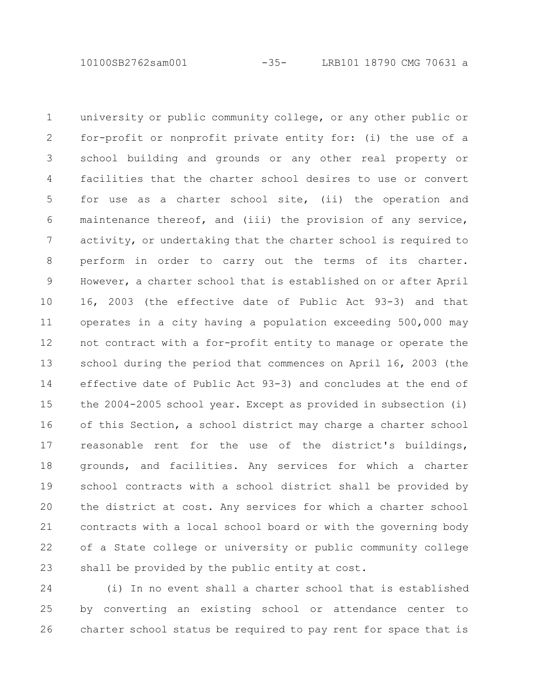10100SB2762sam001 -35- LRB101 18790 CMG 70631 a

university or public community college, or any other public or for-profit or nonprofit private entity for: (i) the use of a school building and grounds or any other real property or facilities that the charter school desires to use or convert for use as a charter school site, (ii) the operation and maintenance thereof, and (iii) the provision of any service, activity, or undertaking that the charter school is required to perform in order to carry out the terms of its charter. However, a charter school that is established on or after April 16, 2003 (the effective date of Public Act 93-3) and that operates in a city having a population exceeding 500,000 may not contract with a for-profit entity to manage or operate the school during the period that commences on April 16, 2003 (the effective date of Public Act 93-3) and concludes at the end of the 2004-2005 school year. Except as provided in subsection (i) of this Section, a school district may charge a charter school reasonable rent for the use of the district's buildings, grounds, and facilities. Any services for which a charter school contracts with a school district shall be provided by the district at cost. Any services for which a charter school contracts with a local school board or with the governing body of a State college or university or public community college shall be provided by the public entity at cost. 1 2 3 4 5 6 7 8 9 10 11 12 13 14 15 16 17 18 19 20 21 22 23

(i) In no event shall a charter school that is established by converting an existing school or attendance center to charter school status be required to pay rent for space that is 24 25 26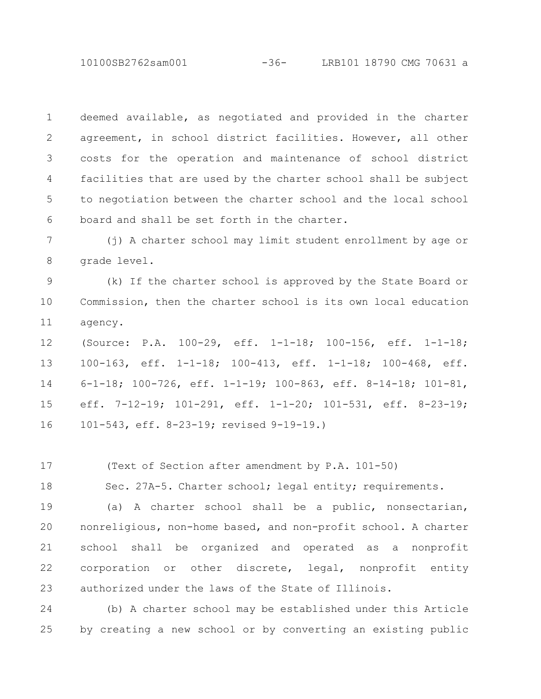10100SB2762sam001 -36- LRB101 18790 CMG 70631 a

deemed available, as negotiated and provided in the charter agreement, in school district facilities. However, all other costs for the operation and maintenance of school district facilities that are used by the charter school shall be subject to negotiation between the charter school and the local school board and shall be set forth in the charter. 1 2 3 4 5 6

(j) A charter school may limit student enrollment by age or grade level. 7 8

(k) If the charter school is approved by the State Board or Commission, then the charter school is its own local education agency. 9 10 11

(Source: P.A. 100-29, eff. 1-1-18; 100-156, eff. 1-1-18; 100-163, eff. 1-1-18; 100-413, eff. 1-1-18; 100-468, eff. 6-1-18; 100-726, eff. 1-1-19; 100-863, eff. 8-14-18; 101-81, eff. 7-12-19; 101-291, eff. 1-1-20; 101-531, eff. 8-23-19; 101-543, eff. 8-23-19; revised 9-19-19.) 12 13 14 15 16

(Text of Section after amendment by P.A. 101-50) 17

Sec. 27A-5. Charter school; legal entity; requirements. 18

(a) A charter school shall be a public, nonsectarian, nonreligious, non-home based, and non-profit school. A charter school shall be organized and operated as a nonprofit corporation or other discrete, legal, nonprofit entity authorized under the laws of the State of Illinois. 19 20 21 22 23

(b) A charter school may be established under this Article by creating a new school or by converting an existing public 24 25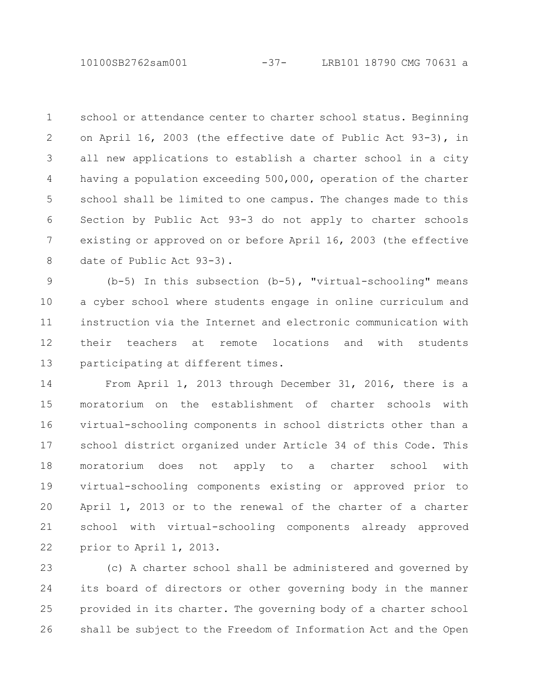school or attendance center to charter school status. Beginning on April 16, 2003 (the effective date of Public Act 93-3), in all new applications to establish a charter school in a city having a population exceeding 500,000, operation of the charter school shall be limited to one campus. The changes made to this Section by Public Act 93-3 do not apply to charter schools existing or approved on or before April 16, 2003 (the effective date of Public Act 93-3). 1 2 3 4 5 6 7 8

(b-5) In this subsection (b-5), "virtual-schooling" means a cyber school where students engage in online curriculum and instruction via the Internet and electronic communication with their teachers at remote locations and with students participating at different times. 9 10 11 12 13

From April 1, 2013 through December 31, 2016, there is a moratorium on the establishment of charter schools with virtual-schooling components in school districts other than a school district organized under Article 34 of this Code. This moratorium does not apply to a charter school with virtual-schooling components existing or approved prior to April 1, 2013 or to the renewal of the charter of a charter school with virtual-schooling components already approved prior to April 1, 2013. 14 15 16 17 18 19 20 21 22

(c) A charter school shall be administered and governed by its board of directors or other governing body in the manner provided in its charter. The governing body of a charter school shall be subject to the Freedom of Information Act and the Open 23 24 25 26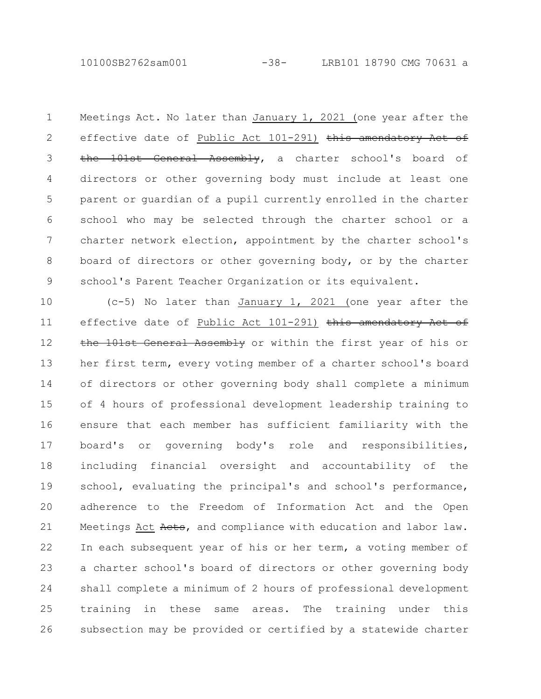10100SB2762sam001 -38- LRB101 18790 CMG 70631 a

Meetings Act. No later than January 1, 2021 (one year after the effective date of Public Act 101-291) this amendatory Act of the 101st General Assembly, a charter school's board of directors or other governing body must include at least one parent or guardian of a pupil currently enrolled in the charter school who may be selected through the charter school or a charter network election, appointment by the charter school's board of directors or other governing body, or by the charter school's Parent Teacher Organization or its equivalent. 1 2 3 4 5 6 7 8 9

(c-5) No later than January 1, 2021 (one year after the effective date of Public Act 101-291) this amendatory Act of the 101st General Assembly or within the first year of his or her first term, every voting member of a charter school's board of directors or other governing body shall complete a minimum of 4 hours of professional development leadership training to ensure that each member has sufficient familiarity with the board's or governing body's role and responsibilities, including financial oversight and accountability of the school, evaluating the principal's and school's performance, adherence to the Freedom of Information Act and the Open Meetings Act Aets, and compliance with education and labor law. In each subsequent year of his or her term, a voting member of a charter school's board of directors or other governing body shall complete a minimum of 2 hours of professional development training in these same areas. The training under this subsection may be provided or certified by a statewide charter 10 11 12 13 14 15 16 17 18 19 20 21 22 23 24 25 26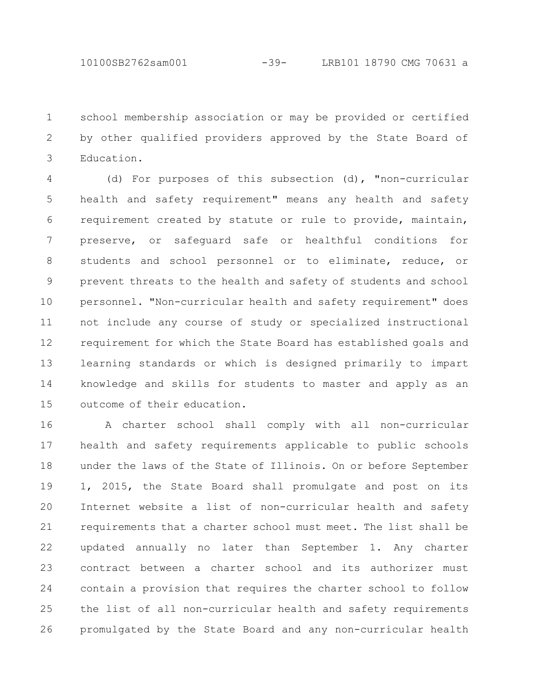school membership association or may be provided or certified by other qualified providers approved by the State Board of Education. 1 2 3

(d) For purposes of this subsection (d), "non-curricular health and safety requirement" means any health and safety requirement created by statute or rule to provide, maintain, preserve, or safeguard safe or healthful conditions for students and school personnel or to eliminate, reduce, or prevent threats to the health and safety of students and school personnel. "Non-curricular health and safety requirement" does not include any course of study or specialized instructional requirement for which the State Board has established goals and learning standards or which is designed primarily to impart knowledge and skills for students to master and apply as an outcome of their education. 4 5 6 7 8 9 10 11 12 13 14 15

A charter school shall comply with all non-curricular health and safety requirements applicable to public schools under the laws of the State of Illinois. On or before September 1, 2015, the State Board shall promulgate and post on its Internet website a list of non-curricular health and safety requirements that a charter school must meet. The list shall be updated annually no later than September 1. Any charter contract between a charter school and its authorizer must contain a provision that requires the charter school to follow the list of all non-curricular health and safety requirements promulgated by the State Board and any non-curricular health 16 17 18 19 20 21 22 23 24 25 26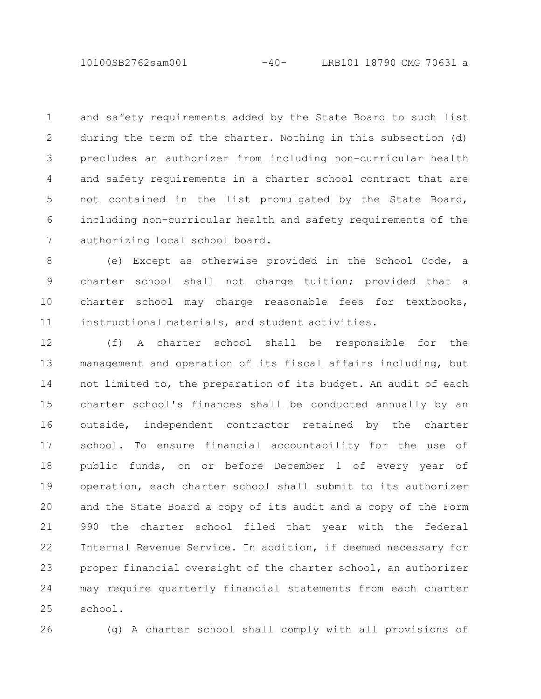10100SB2762sam001 -40- LRB101 18790 CMG 70631 a

and safety requirements added by the State Board to such list during the term of the charter. Nothing in this subsection (d) precludes an authorizer from including non-curricular health and safety requirements in a charter school contract that are not contained in the list promulgated by the State Board, including non-curricular health and safety requirements of the authorizing local school board. 1 2 3 4 5 6 7

(e) Except as otherwise provided in the School Code, a charter school shall not charge tuition; provided that a charter school may charge reasonable fees for textbooks, instructional materials, and student activities. 8 9 10 11

(f) A charter school shall be responsible for the management and operation of its fiscal affairs including, but not limited to, the preparation of its budget. An audit of each charter school's finances shall be conducted annually by an outside, independent contractor retained by the charter school. To ensure financial accountability for the use of public funds, on or before December 1 of every year of operation, each charter school shall submit to its authorizer and the State Board a copy of its audit and a copy of the Form 990 the charter school filed that year with the federal Internal Revenue Service. In addition, if deemed necessary for proper financial oversight of the charter school, an authorizer may require quarterly financial statements from each charter school. 12 13 14 15 16 17 18 19 20 21 22 23 24 25

26

(g) A charter school shall comply with all provisions of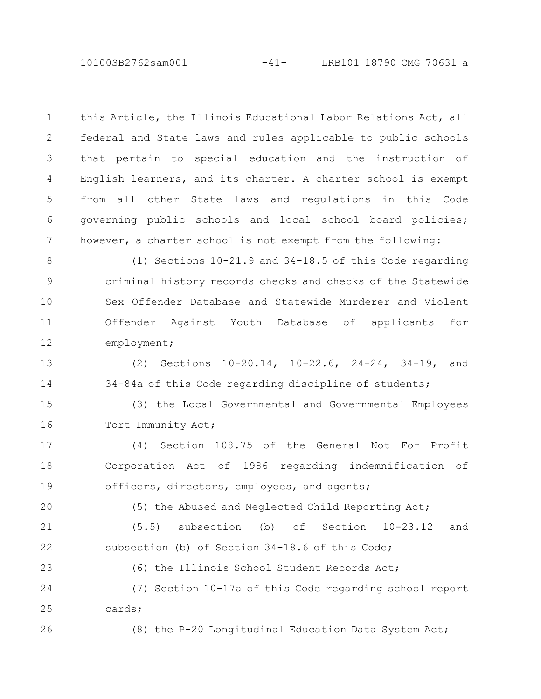this Article, the Illinois Educational Labor Relations Act, all federal and State laws and rules applicable to public schools that pertain to special education and the instruction of English learners, and its charter. A charter school is exempt from all other State laws and regulations in this Code governing public schools and local school board policies; however, a charter school is not exempt from the following: 1 2 3 4 5 6 7

(1) Sections 10-21.9 and 34-18.5 of this Code regarding criminal history records checks and checks of the Statewide Sex Offender Database and Statewide Murderer and Violent Offender Against Youth Database of applicants for employment; 8 9 10 11 12

(2) Sections 10-20.14, 10-22.6, 24-24, 34-19, and 34-84a of this Code regarding discipline of students; 13 14

(3) the Local Governmental and Governmental Employees Tort Immunity Act; 15 16

(4) Section 108.75 of the General Not For Profit Corporation Act of 1986 regarding indemnification of officers, directors, employees, and agents; 17 18 19

20

26

(5) the Abused and Neglected Child Reporting Act;

(5.5) subsection (b) of Section 10-23.12 and subsection (b) of Section 34-18.6 of this Code; 21 22

(6) the Illinois School Student Records Act; (7) Section 10-17a of this Code regarding school report cards; 23 24 25

(8) the P-20 Longitudinal Education Data System Act;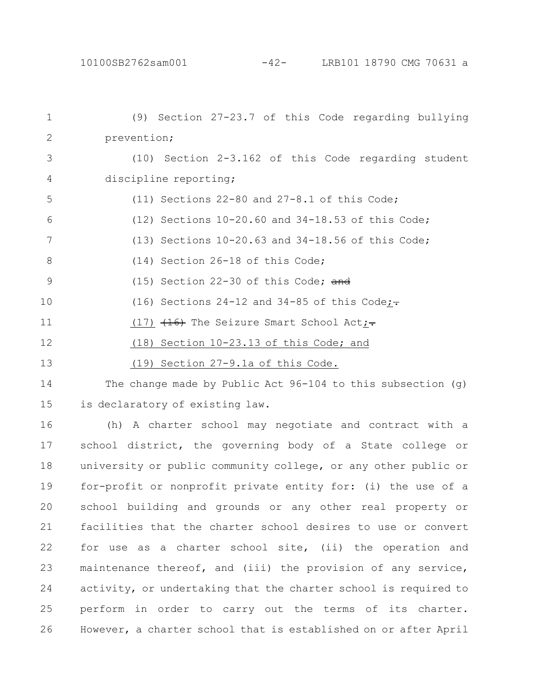| $\mathbf 1$ | (9) Section 27-23.7 of this Code regarding bullying           |
|-------------|---------------------------------------------------------------|
| 2           | prevention;                                                   |
| 3           | (10) Section 2-3.162 of this Code regarding student           |
| 4           | discipline reporting;                                         |
| 5           | (11) Sections $22-80$ and $27-8.1$ of this Code;              |
| 6           | (12) Sections 10-20.60 and 34-18.53 of this Code;             |
| 7           | (13) Sections $10-20.63$ and $34-18.56$ of this Code;         |
| 8           | (14) Section 26-18 of this Code;                              |
| 9           | $(15)$ Section 22-30 of this Code; and                        |
| 10          | (16) Sections 24-12 and 34-85 of this Code;-                  |
| 11          | $(17)$ $(16)$ The Seizure Smart School Act;                   |
| 12          | (18) Section 10-23.13 of this Code; and                       |
| 13          | (19) Section 27-9.1a of this Code.                            |
| 14          | The change made by Public Act $96-104$ to this subsection (g) |
| 15          | is declaratory of existing law.                               |

(h) A charter school may negotiate and contract with a school district, the governing body of a State college or university or public community college, or any other public or for-profit or nonprofit private entity for: (i) the use of a school building and grounds or any other real property or facilities that the charter school desires to use or convert for use as a charter school site, (ii) the operation and maintenance thereof, and (iii) the provision of any service, activity, or undertaking that the charter school is required to perform in order to carry out the terms of its charter. However, a charter school that is established on or after April 16 17 18 19 20 21 22 23 24 25 26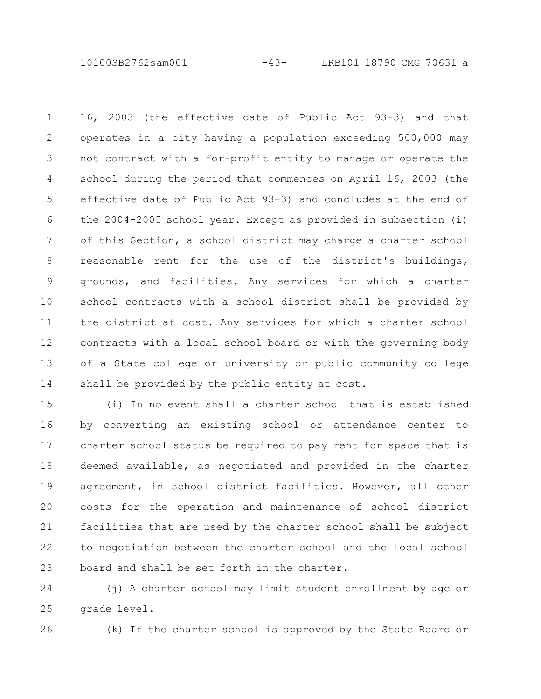10100SB2762sam001 -43- LRB101 18790 CMG 70631 a

16, 2003 (the effective date of Public Act 93-3) and that operates in a city having a population exceeding 500,000 may not contract with a for-profit entity to manage or operate the school during the period that commences on April 16, 2003 (the effective date of Public Act 93-3) and concludes at the end of the 2004-2005 school year. Except as provided in subsection (i) of this Section, a school district may charge a charter school reasonable rent for the use of the district's buildings, grounds, and facilities. Any services for which a charter school contracts with a school district shall be provided by the district at cost. Any services for which a charter school contracts with a local school board or with the governing body of a State college or university or public community college shall be provided by the public entity at cost. 1 2 3 4 5 6 7 8 9 10 11 12 13 14

(i) In no event shall a charter school that is established by converting an existing school or attendance center to charter school status be required to pay rent for space that is deemed available, as negotiated and provided in the charter agreement, in school district facilities. However, all other costs for the operation and maintenance of school district facilities that are used by the charter school shall be subject to negotiation between the charter school and the local school board and shall be set forth in the charter. 15 16 17 18 19 20 21 22 23

(j) A charter school may limit student enrollment by age or grade level. 24 25

26

(k) If the charter school is approved by the State Board or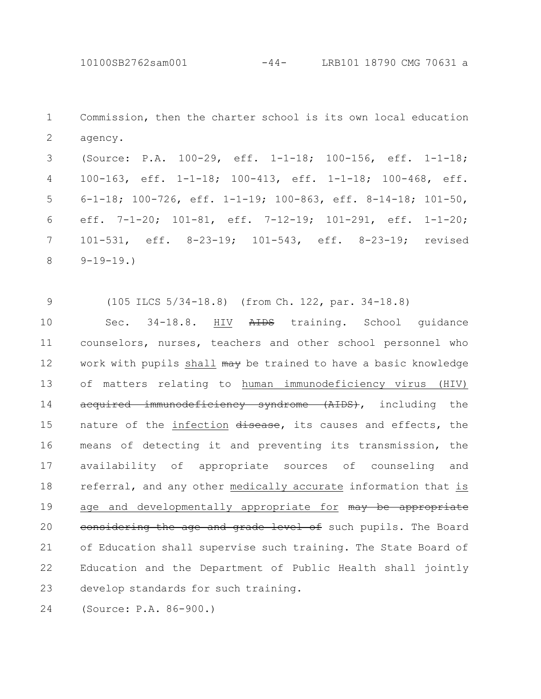Commission, then the charter school is its own local education agency. 1 2

(Source: P.A. 100-29, eff. 1-1-18; 100-156, eff. 1-1-18; 100-163, eff. 1-1-18; 100-413, eff. 1-1-18; 100-468, eff. 6-1-18; 100-726, eff. 1-1-19; 100-863, eff. 8-14-18; 101-50, eff. 7-1-20; 101-81, eff. 7-12-19; 101-291, eff. 1-1-20; 101-531, eff. 8-23-19; 101-543, eff. 8-23-19; revised  $9-19-19.$ 3 4 5 6 7 8

(105 ILCS 5/34-18.8) (from Ch. 122, par. 34-18.8) 9

Sec. 34-18.8. HIV AIDS training. School quidance counselors, nurses, teachers and other school personnel who work with pupils shall may be trained to have a basic knowledge of matters relating to human immunodeficiency virus (HIV) acquired immunodeficiency syndrome (AIDS), including the nature of the infection disease, its causes and effects, the means of detecting it and preventing its transmission, the availability of appropriate sources of counseling and referral, and any other medically accurate information that is age and developmentally appropriate for may be appropriate eonsidering the age and grade level of such pupils. The Board of Education shall supervise such training. The State Board of Education and the Department of Public Health shall jointly develop standards for such training. 10 11 12 13 14 15 16 17 18 19 20 21 22 23

(Source: P.A. 86-900.) 24